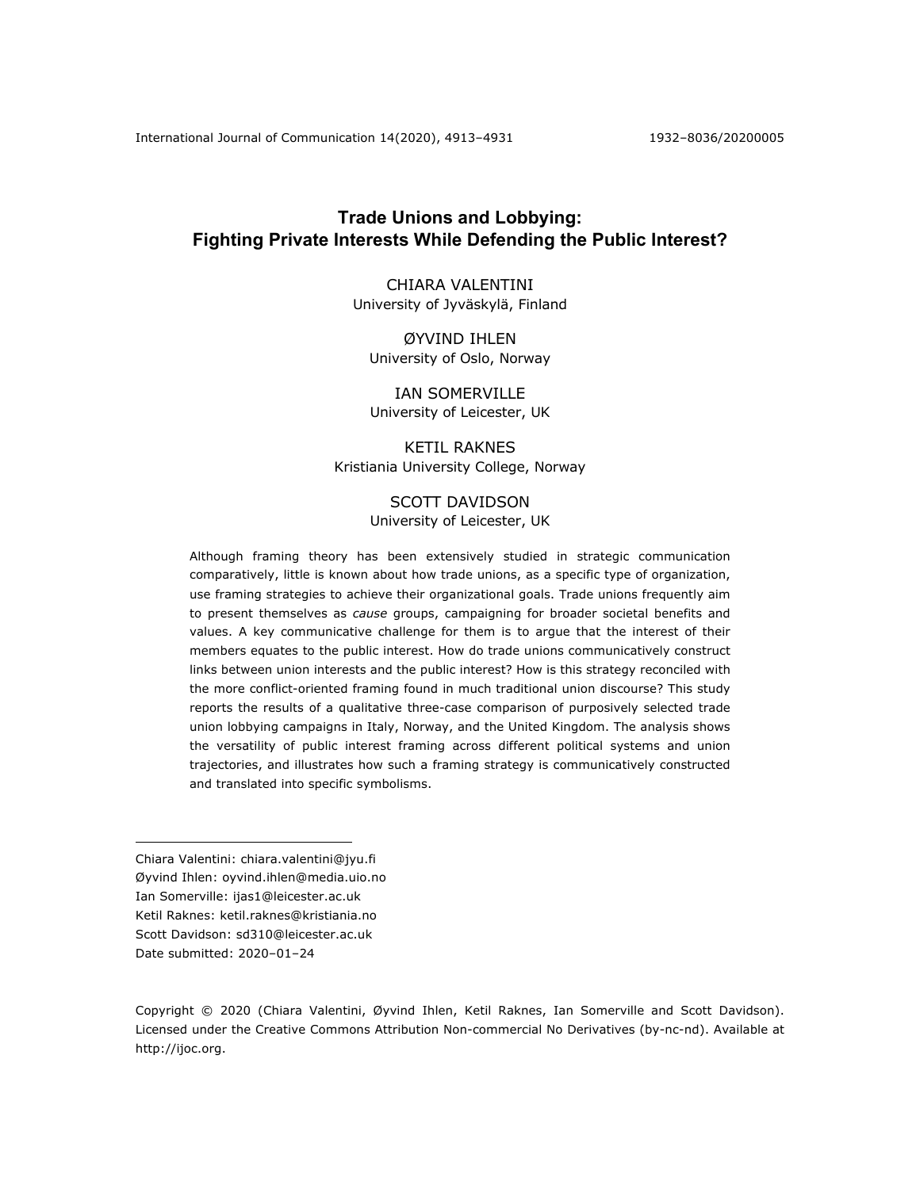# **Trade Unions and Lobbying: Fighting Private Interests While Defending the Public Interest?**

CHIARA VALENTINI University of Jyväskylä, Finland

ØYVIND IHLEN University of Oslo, Norway

IAN SOMERVILLE University of Leicester, UK

KETIL RAKNES Kristiania University College, Norway

## SCOTT DAVIDSON University of Leicester, UK

Although framing theory has been extensively studied in strategic communication comparatively, little is known about how trade unions, as a specific type of organization, use framing strategies to achieve their organizational goals. Trade unions frequently aim to present themselves as *cause* groups, campaigning for broader societal benefits and values. A key communicative challenge for them is to argue that the interest of their members equates to the public interest. How do trade unions communicatively construct links between union interests and the public interest? How is this strategy reconciled with the more conflict-oriented framing found in much traditional union discourse? This study reports the results of a qualitative three-case comparison of purposively selected trade union lobbying campaigns in Italy, Norway, and the United Kingdom. The analysis shows the versatility of public interest framing across different political systems and union trajectories, and illustrates how such a framing strategy is communicatively constructed and translated into specific symbolisms.

Chiara Valentini: chiara.valentini@jyu.fi Øyvind Ihlen: oyvind.ihlen@media.uio.no Ian Somerville: ijas1@leicester.ac.uk Ketil Raknes: ketil.raknes@kristiania.no Scott Davidson: sd310@leicester.ac.uk Date submitted: 2020-01-24

Copyright © 2020 (Chiara Valentini, Øyvind Ihlen, Ketil Raknes, Ian Somerville and Scott Davidson). Licensed under the Creative Commons Attribution Non-commercial No Derivatives (by-nc-nd). Available at http://ijoc.org.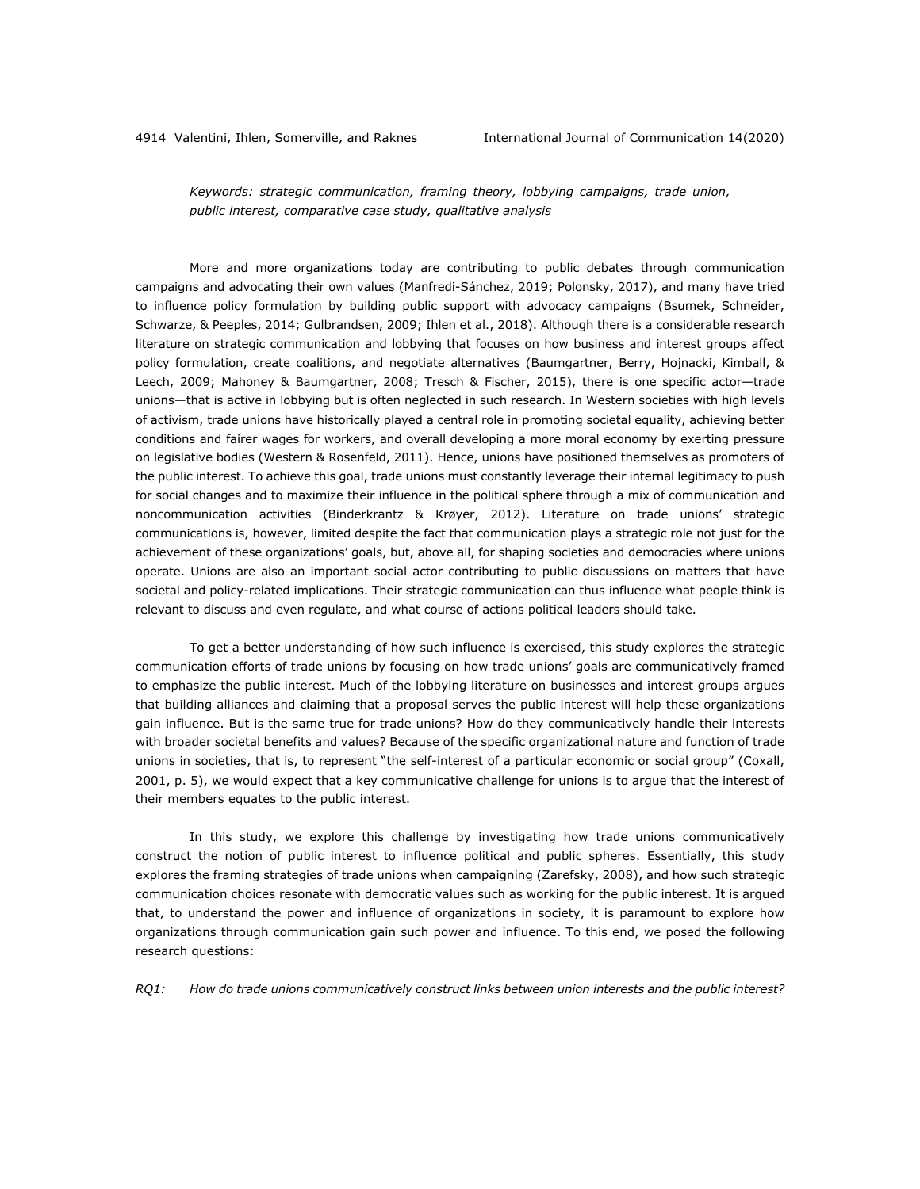*Keywords: strategic communication, framing theory, lobbying campaigns, trade union, public interest, comparative case study, qualitative analysis*

More and more organizations today are contributing to public debates through communication campaigns and advocating their own values (Manfredi-Sánchez, 2019; Polonsky, 2017), and many have tried to influence policy formulation by building public support with advocacy campaigns (Bsumek, Schneider, Schwarze, & Peeples, 2014; Gulbrandsen, 2009; Ihlen et al., 2018). Although there is a considerable research literature on strategic communication and lobbying that focuses on how business and interest groups affect policy formulation, create coalitions, and negotiate alternatives (Baumgartner, Berry, Hojnacki, Kimball, & Leech, 2009; Mahoney & Baumgartner, 2008; Tresch & Fischer, 2015), there is one specific actor—trade unions—that is active in lobbying but is often neglected in such research. In Western societies with high levels of activism, trade unions have historically played a central role in promoting societal equality, achieving better conditions and fairer wages for workers, and overall developing a more moral economy by exerting pressure on legislative bodies (Western & Rosenfeld, 2011). Hence, unions have positioned themselves as promoters of the public interest. To achieve this goal, trade unions must constantly leverage their internal legitimacy to push for social changes and to maximize their influence in the political sphere through a mix of communication and noncommunication activities (Binderkrantz & Krøyer, 2012). Literature on trade unions' strategic communications is, however, limited despite the fact that communication plays a strategic role not just for the achievement of these organizations' goals, but, above all, for shaping societies and democracies where unions operate. Unions are also an important social actor contributing to public discussions on matters that have societal and policy-related implications. Their strategic communication can thus influence what people think is relevant to discuss and even regulate, and what course of actions political leaders should take.

To get a better understanding of how such influence is exercised, this study explores the strategic communication efforts of trade unions by focusing on how trade unions' goals are communicatively framed to emphasize the public interest. Much of the lobbying literature on businesses and interest groups argues that building alliances and claiming that a proposal serves the public interest will help these organizations gain influence. But is the same true for trade unions? How do they communicatively handle their interests with broader societal benefits and values? Because of the specific organizational nature and function of trade unions in societies, that is, to represent "the self-interest of a particular economic or social group" (Coxall, 2001, p. 5), we would expect that a key communicative challenge for unions is to argue that the interest of their members equates to the public interest.

In this study, we explore this challenge by investigating how trade unions communicatively construct the notion of public interest to influence political and public spheres. Essentially, this study explores the framing strategies of trade unions when campaigning (Zarefsky, 2008), and how such strategic communication choices resonate with democratic values such as working for the public interest. It is argued that, to understand the power and influence of organizations in society, it is paramount to explore how organizations through communication gain such power and influence. To this end, we posed the following research questions:

*RQ1: How do trade unions communicatively construct links between union interests and the public interest?*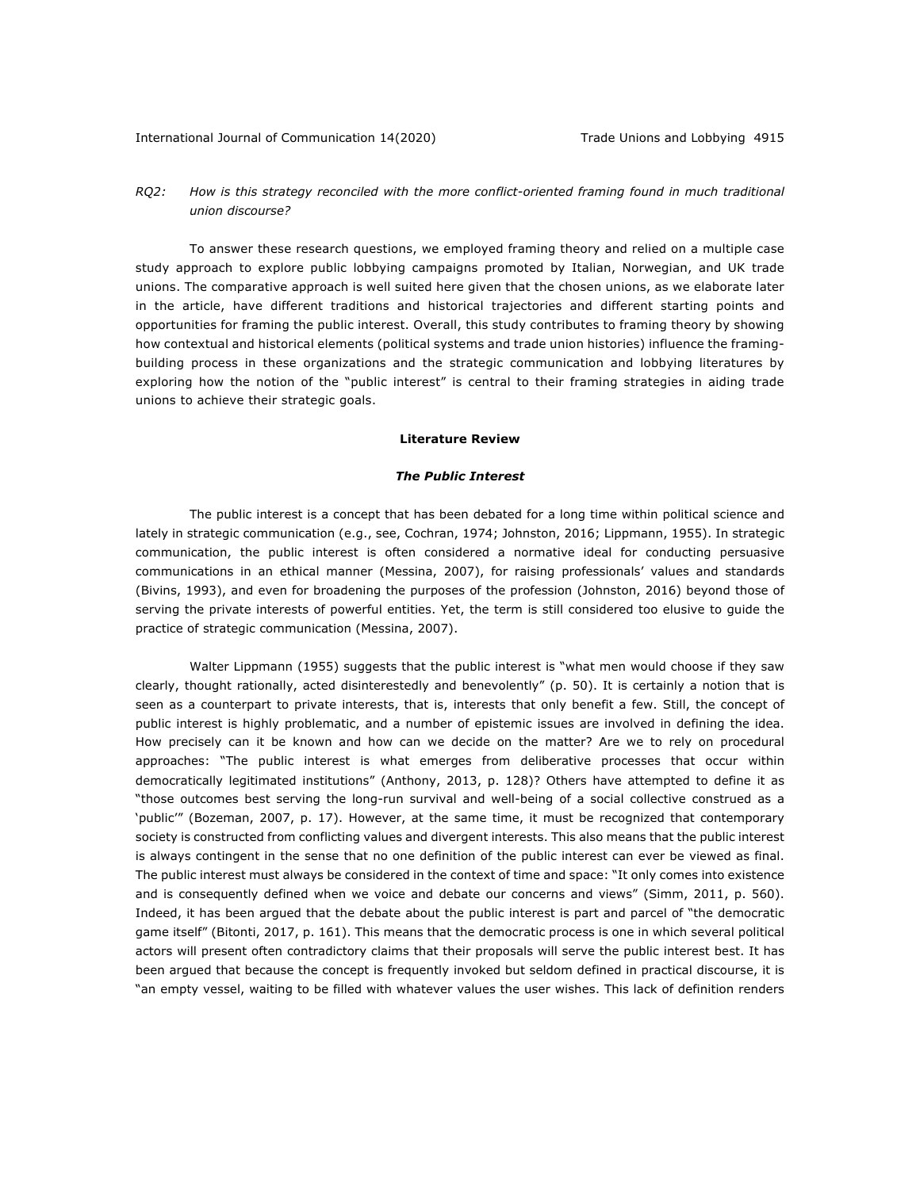## *RQ2: How is this strategy reconciled with the more conflict-oriented framing found in much traditional union discourse?*

To answer these research questions, we employed framing theory and relied on a multiple case study approach to explore public lobbying campaigns promoted by Italian, Norwegian, and UK trade unions. The comparative approach is well suited here given that the chosen unions, as we elaborate later in the article, have different traditions and historical trajectories and different starting points and opportunities for framing the public interest. Overall, this study contributes to framing theory by showing how contextual and historical elements (political systems and trade union histories) influence the framingbuilding process in these organizations and the strategic communication and lobbying literatures by exploring how the notion of the "public interest" is central to their framing strategies in aiding trade unions to achieve their strategic goals.

### **Literature Review**

## *The Public Interest*

The public interest is a concept that has been debated for a long time within political science and lately in strategic communication (e.g., see, Cochran, 1974; Johnston, 2016; Lippmann, 1955). In strategic communication, the public interest is often considered a normative ideal for conducting persuasive communications in an ethical manner (Messina, 2007), for raising professionals' values and standards (Bivins, 1993), and even for broadening the purposes of the profession (Johnston, 2016) beyond those of serving the private interests of powerful entities. Yet, the term is still considered too elusive to guide the practice of strategic communication (Messina, 2007).

Walter Lippmann (1955) suggests that the public interest is "what men would choose if they saw clearly, thought rationally, acted disinterestedly and benevolently" (p. 50). It is certainly a notion that is seen as a counterpart to private interests, that is, interests that only benefit a few. Still, the concept of public interest is highly problematic, and a number of epistemic issues are involved in defining the idea. How precisely can it be known and how can we decide on the matter? Are we to rely on procedural approaches: "The public interest is what emerges from deliberative processes that occur within democratically legitimated institutions" (Anthony, 2013, p. 128)? Others have attempted to define it as "those outcomes best serving the long-run survival and well-being of a social collective construed as a 'public'" (Bozeman, 2007, p. 17). However, at the same time, it must be recognized that contemporary society is constructed from conflicting values and divergent interests. This also means that the public interest is always contingent in the sense that no one definition of the public interest can ever be viewed as final. The public interest must always be considered in the context of time and space: "It only comes into existence and is consequently defined when we voice and debate our concerns and views" (Simm, 2011, p. 560). Indeed, it has been argued that the debate about the public interest is part and parcel of "the democratic game itself" (Bitonti, 2017, p. 161). This means that the democratic process is one in which several political actors will present often contradictory claims that their proposals will serve the public interest best. It has been argued that because the concept is frequently invoked but seldom defined in practical discourse, it is "an empty vessel, waiting to be filled with whatever values the user wishes. This lack of definition renders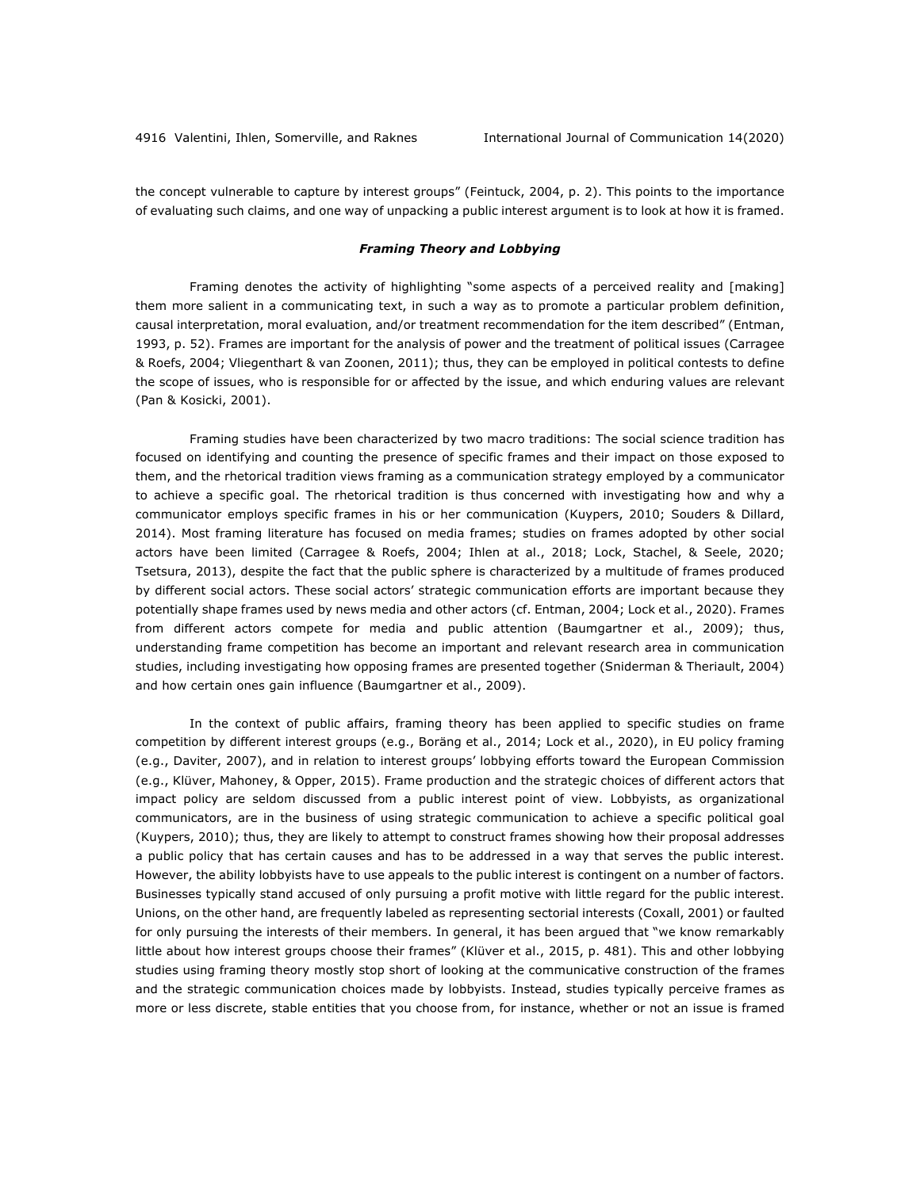the concept vulnerable to capture by interest groups" (Feintuck, 2004, p. 2). This points to the importance of evaluating such claims, and one way of unpacking a public interest argument is to look at how it is framed.

## *Framing Theory and Lobbying*

Framing denotes the activity of highlighting "some aspects of a perceived reality and [making] them more salient in a communicating text, in such a way as to promote a particular problem definition, causal interpretation, moral evaluation, and/or treatment recommendation for the item described" (Entman, 1993, p. 52). Frames are important for the analysis of power and the treatment of political issues (Carragee & Roefs, 2004; Vliegenthart & van Zoonen, 2011); thus, they can be employed in political contests to define the scope of issues, who is responsible for or affected by the issue, and which enduring values are relevant (Pan & Kosicki, 2001).

Framing studies have been characterized by two macro traditions: The social science tradition has focused on identifying and counting the presence of specific frames and their impact on those exposed to them, and the rhetorical tradition views framing as a communication strategy employed by a communicator to achieve a specific goal. The rhetorical tradition is thus concerned with investigating how and why a communicator employs specific frames in his or her communication (Kuypers, 2010; Souders & Dillard, 2014). Most framing literature has focused on media frames; studies on frames adopted by other social actors have been limited (Carragee & Roefs, 2004; Ihlen at al., 2018; Lock, Stachel, & Seele, 2020; Tsetsura, 2013), despite the fact that the public sphere is characterized by a multitude of frames produced by different social actors. These social actors' strategic communication efforts are important because they potentially shape frames used by news media and other actors (cf. Entman, 2004; Lock et al., 2020). Frames from different actors compete for media and public attention (Baumgartner et al., 2009); thus, understanding frame competition has become an important and relevant research area in communication studies, including investigating how opposing frames are presented together (Sniderman & Theriault, 2004) and how certain ones gain influence (Baumgartner et al., 2009).

In the context of public affairs, framing theory has been applied to specific studies on frame competition by different interest groups (e.g., Boräng et al., 2014; Lock et al., 2020), in EU policy framing (e.g., Daviter, 2007), and in relation to interest groups' lobbying efforts toward the European Commission (e.g., Klüver, Mahoney, & Opper, 2015). Frame production and the strategic choices of different actors that impact policy are seldom discussed from a public interest point of view. Lobbyists, as organizational communicators, are in the business of using strategic communication to achieve a specific political goal (Kuypers, 2010); thus, they are likely to attempt to construct frames showing how their proposal addresses a public policy that has certain causes and has to be addressed in a way that serves the public interest. However, the ability lobbyists have to use appeals to the public interest is contingent on a number of factors. Businesses typically stand accused of only pursuing a profit motive with little regard for the public interest. Unions, on the other hand, are frequently labeled as representing sectorial interests (Coxall, 2001) or faulted for only pursuing the interests of their members. In general, it has been argued that "we know remarkably little about how interest groups choose their frames" (Klüver et al., 2015, p. 481). This and other lobbying studies using framing theory mostly stop short of looking at the communicative construction of the frames and the strategic communication choices made by lobbyists. Instead, studies typically perceive frames as more or less discrete, stable entities that you choose from, for instance, whether or not an issue is framed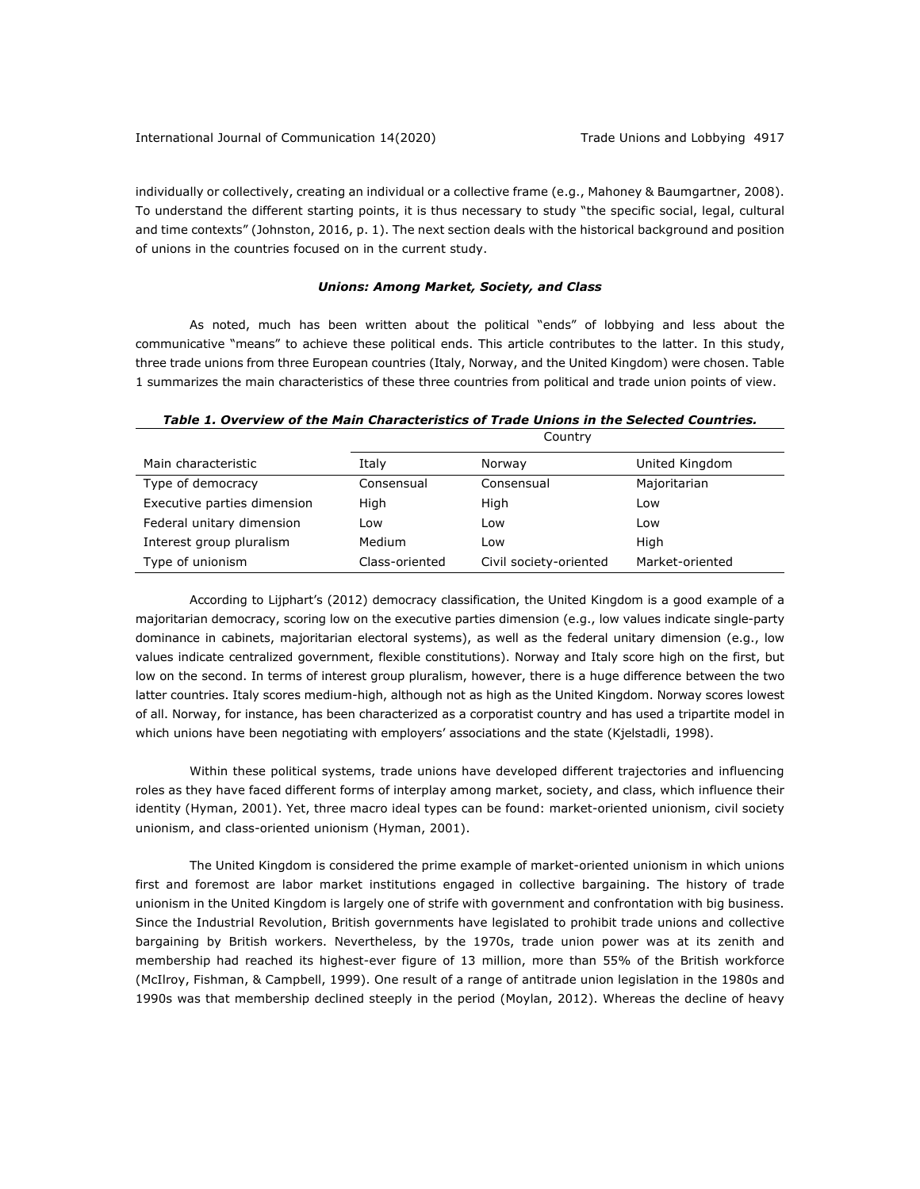individually or collectively, creating an individual or a collective frame (e.g., Mahoney & Baumgartner, 2008). To understand the different starting points, it is thus necessary to study "the specific social, legal, cultural and time contexts" (Johnston, 2016, p. 1). The next section deals with the historical background and position of unions in the countries focused on in the current study.

## *Unions: Among Market, Society, and Class*

As noted, much has been written about the political "ends" of lobbying and less about the communicative "means" to achieve these political ends. This article contributes to the latter. In this study, three trade unions from three European countries (Italy, Norway, and the United Kingdom) were chosen. Table 1 summarizes the main characteristics of these three countries from political and trade union points of view.

|                             | <b>COULILI</b> Y |                        |                 |
|-----------------------------|------------------|------------------------|-----------------|
| Main characteristic         | Italy            | Norway                 | United Kingdom  |
| Type of democracy           | Consensual       | Consensual             | Majoritarian    |
| Executive parties dimension | High             | High                   | Low             |
| Federal unitary dimension   | Low              | Low                    | Low             |
| Interest group pluralism    | Medium           | Low                    | High            |
| Type of unionism            | Class-oriented   | Civil society-oriented | Market-oriented |

*Table 1. Overview of the Main Characteristics of Trade Unions in the Selected Countries.*

 $C_{\text{a}}$ 

According to Lijphart's (2012) democracy classification, the United Kingdom is a good example of a majoritarian democracy, scoring low on the executive parties dimension (e.g., low values indicate single-party dominance in cabinets, majoritarian electoral systems), as well as the federal unitary dimension (e.g., low values indicate centralized government, flexible constitutions). Norway and Italy score high on the first, but low on the second. In terms of interest group pluralism, however, there is a huge difference between the two latter countries. Italy scores medium-high, although not as high as the United Kingdom. Norway scores lowest of all. Norway, for instance, has been characterized as a corporatist country and has used a tripartite model in which unions have been negotiating with employers' associations and the state (Kjelstadli, 1998).

Within these political systems, trade unions have developed different trajectories and influencing roles as they have faced different forms of interplay among market, society, and class, which influence their identity (Hyman, 2001). Yet, three macro ideal types can be found: market-oriented unionism, civil society unionism, and class-oriented unionism (Hyman, 2001).

The United Kingdom is considered the prime example of market-oriented unionism in which unions first and foremost are labor market institutions engaged in collective bargaining. The history of trade unionism in the United Kingdom is largely one of strife with government and confrontation with big business. Since the Industrial Revolution, British governments have legislated to prohibit trade unions and collective bargaining by British workers. Nevertheless, by the 1970s, trade union power was at its zenith and membership had reached its highest-ever figure of 13 million, more than 55% of the British workforce (McIlroy, Fishman, & Campbell, 1999). One result of a range of antitrade union legislation in the 1980s and 1990s was that membership declined steeply in the period (Moylan, 2012). Whereas the decline of heavy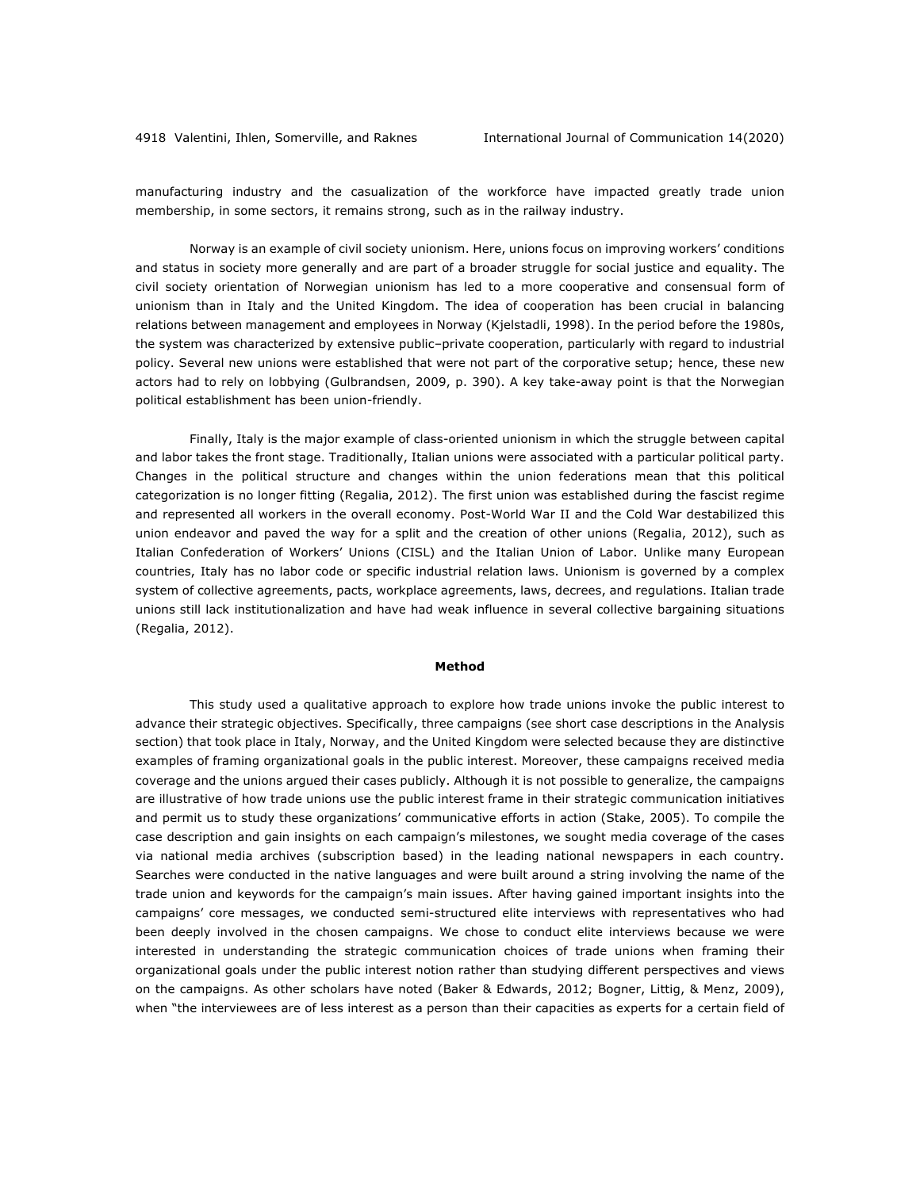manufacturing industry and the casualization of the workforce have impacted greatly trade union membership, in some sectors, it remains strong, such as in the railway industry.

Norway is an example of civil society unionism. Here, unions focus on improving workers' conditions and status in society more generally and are part of a broader struggle for social justice and equality. The civil society orientation of Norwegian unionism has led to a more cooperative and consensual form of unionism than in Italy and the United Kingdom. The idea of cooperation has been crucial in balancing relations between management and employees in Norway (Kjelstadli, 1998). In the period before the 1980s, the system was characterized by extensive public–private cooperation, particularly with regard to industrial policy. Several new unions were established that were not part of the corporative setup; hence, these new actors had to rely on lobbying (Gulbrandsen, 2009, p. 390). A key take-away point is that the Norwegian political establishment has been union-friendly.

Finally, Italy is the major example of class-oriented unionism in which the struggle between capital and labor takes the front stage. Traditionally, Italian unions were associated with a particular political party. Changes in the political structure and changes within the union federations mean that this political categorization is no longer fitting (Regalia, 2012). The first union was established during the fascist regime and represented all workers in the overall economy. Post-World War II and the Cold War destabilized this union endeavor and paved the way for a split and the creation of other unions (Regalia, 2012), such as Italian Confederation of Workers' Unions (CISL) and the Italian Union of Labor. Unlike many European countries, Italy has no labor code or specific industrial relation laws. Unionism is governed by a complex system of collective agreements, pacts, workplace agreements, laws, decrees, and regulations. Italian trade unions still lack institutionalization and have had weak influence in several collective bargaining situations (Regalia, 2012).

## **Method**

This study used a qualitative approach to explore how trade unions invoke the public interest to advance their strategic objectives. Specifically, three campaigns (see short case descriptions in the Analysis section) that took place in Italy, Norway, and the United Kingdom were selected because they are distinctive examples of framing organizational goals in the public interest. Moreover, these campaigns received media coverage and the unions argued their cases publicly. Although it is not possible to generalize, the campaigns are illustrative of how trade unions use the public interest frame in their strategic communication initiatives and permit us to study these organizations' communicative efforts in action (Stake, 2005). To compile the case description and gain insights on each campaign's milestones, we sought media coverage of the cases via national media archives (subscription based) in the leading national newspapers in each country. Searches were conducted in the native languages and were built around a string involving the name of the trade union and keywords for the campaign's main issues. After having gained important insights into the campaigns' core messages, we conducted semi-structured elite interviews with representatives who had been deeply involved in the chosen campaigns. We chose to conduct elite interviews because we were interested in understanding the strategic communication choices of trade unions when framing their organizational goals under the public interest notion rather than studying different perspectives and views on the campaigns. As other scholars have noted (Baker & Edwards, 2012; Bogner, Littig, & Menz, 2009), when "the interviewees are of less interest as a person than their capacities as experts for a certain field of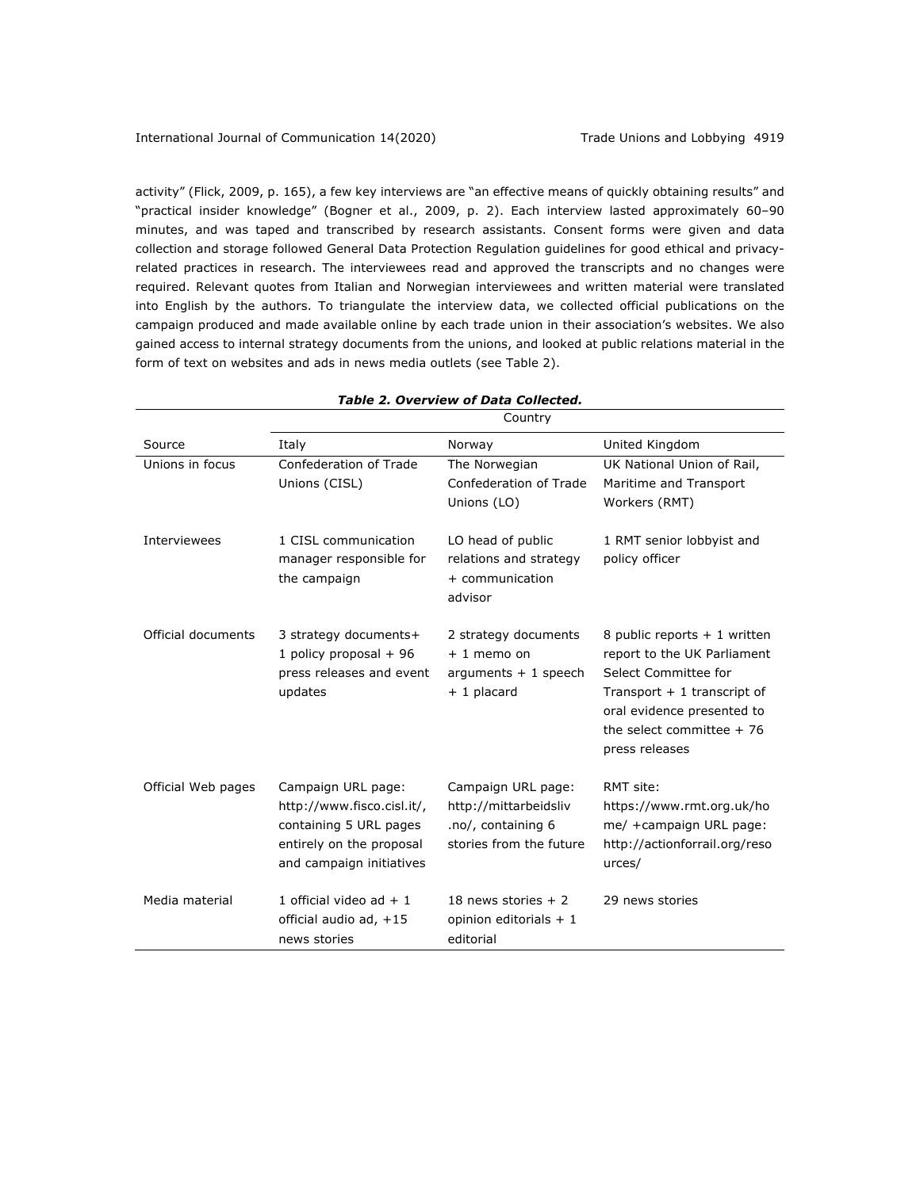activity" (Flick, 2009, p. 165), a few key interviews are "an effective means of quickly obtaining results" and "practical insider knowledge" (Bogner et al., 2009, p. 2). Each interview lasted approximately 60–90 minutes, and was taped and transcribed by research assistants. Consent forms were given and data collection and storage followed General Data Protection Regulation guidelines for good ethical and privacyrelated practices in research. The interviewees read and approved the transcripts and no changes were required. Relevant quotes from Italian and Norwegian interviewees and written material were translated into English by the authors. To triangulate the interview data, we collected official publications on the campaign produced and made available online by each trade union in their association's websites. We also gained access to internal strategy documents from the unions, and looked at public relations material in the form of text on websites and ads in news media outlets (see Table 2).

|                    | Country                                                                                                                            |                                                                                              |                                                                                                                                                                                                    |  |
|--------------------|------------------------------------------------------------------------------------------------------------------------------------|----------------------------------------------------------------------------------------------|----------------------------------------------------------------------------------------------------------------------------------------------------------------------------------------------------|--|
| Source             | Italy                                                                                                                              | Norway                                                                                       | United Kingdom                                                                                                                                                                                     |  |
| Unions in focus    | Confederation of Trade<br>Unions (CISL)                                                                                            | The Norwegian<br>Confederation of Trade<br>Unions (LO)                                       | UK National Union of Rail,<br>Maritime and Transport<br>Workers (RMT)                                                                                                                              |  |
| Interviewees       | 1 CISL communication<br>manager responsible for<br>the campaign                                                                    | LO head of public<br>relations and strategy<br>+ communication<br>advisor                    | 1 RMT senior lobbyist and<br>policy officer                                                                                                                                                        |  |
| Official documents | 3 strategy documents+<br>1 policy proposal $+96$<br>press releases and event<br>updates                                            | 2 strategy documents<br>$+1$ memo on<br>arguments $+1$ speech<br>+ 1 placard                 | 8 public reports $+1$ written<br>report to the UK Parliament<br>Select Committee for<br>Transport $+1$ transcript of<br>oral evidence presented to<br>the select committee $+76$<br>press releases |  |
| Official Web pages | Campaign URL page:<br>http://www.fisco.cisl.it/,<br>containing 5 URL pages<br>entirely on the proposal<br>and campaign initiatives | Campaign URL page:<br>http://mittarbeidsliv<br>.no/, containing 6<br>stories from the future | RMT site:<br>https://www.rmt.org.uk/ho<br>me/ +campaign URL page:<br>http://actionforrail.org/reso<br>urces/                                                                                       |  |
| Media material     | 1 official video ad $+1$<br>official audio ad, +15<br>news stories                                                                 | 18 news stories $+2$<br>opinion editorials $+1$<br>editorial                                 | 29 news stories                                                                                                                                                                                    |  |

## *Table 2. Overview of Data Collected.*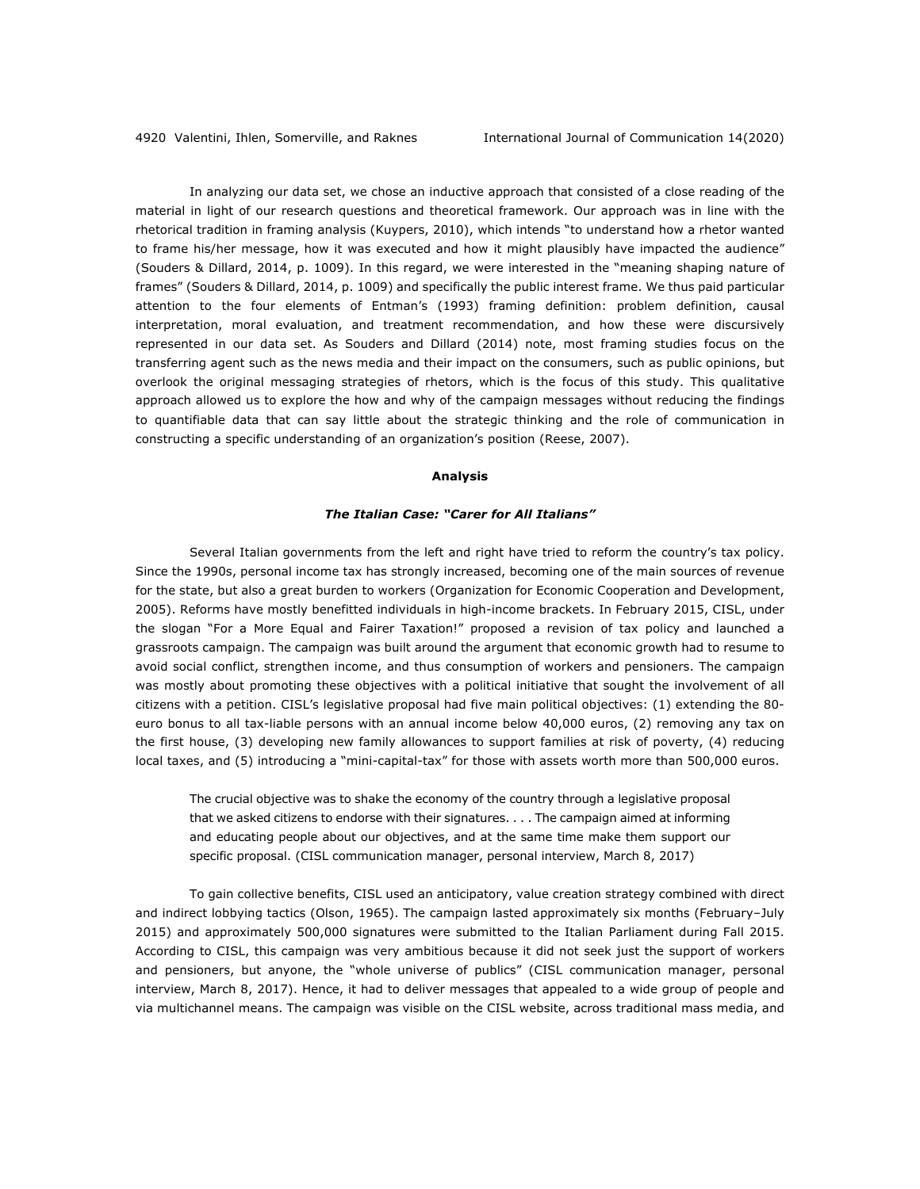In analyzing our data set, we chose an inductive approach that consisted of a close reading of the material in light of our research questions and theoretical framework. Our approach was in line with the rhetorical tradition in framing analysis (Kuypers, 2010), which intends "to understand how a rhetor wanted to frame his/her message, how it was executed and how it might plausibly have impacted the audience" (Souders & Dillard, 2014, p. 1009). In this regard, we were interested in the "meaning shaping nature of frames" (Souders & Dillard, 2014, p. 1009) and specifically the public interest frame. We thus paid particular attention to the four elements of Entman's (1993) framing definition: problem definition, causal interpretation, moral evaluation, and treatment recommendation, and how these were discursively represented in our data set. As Souders and Dillard (2014) note, most framing studies focus on the transferring agent such as the news media and their impact on the consumers, such as public opinions, but overlook the original messaging strategies of rhetors, which is the focus of this study. This qualitative approach allowed us to explore the how and why of the campaign messages without reducing the findings to quantifiable data that can say little about the strategic thinking and the role of communication in constructing a specific understanding of an organization's position (Reese, 2007).

#### **Analysis**

#### *The Italian Case: "Carer for All Italians"*

Several Italian governments from the left and right have tried to reform the country's tax policy. Since the 1990s, personal income tax has strongly increased, becoming one of the main sources of revenue for the state, but also a great burden to workers (Organization for Economic Cooperation and Development, 2005). Reforms have mostly benefitted individuals in high-income brackets. In February 2015, CISL, under the slogan "For a More Equal and Fairer Taxation!" proposed a revision of tax policy and launched a grassroots campaign. The campaign was built around the argument that economic growth had to resume to avoid social conflict, strengthen income, and thus consumption of workers and pensioners. The campaign was mostly about promoting these objectives with a political initiative that sought the involvement of all citizens with a petition. CISL's legislative proposal had five main political objectives: (1) extending the 80 euro bonus to all tax-liable persons with an annual income below 40,000 euros, (2) removing any tax on the first house, (3) developing new family allowances to support families at risk of poverty, (4) reducing local taxes, and (5) introducing a "mini-capital-tax" for those with assets worth more than 500,000 euros.

The crucial objective was to shake the economy of the country through a legislative proposal that we asked citizens to endorse with their signatures. . . . The campaign aimed at informing and educating people about our objectives, and at the same time make them support our specific proposal. (CISL communication manager, personal interview, March 8, 2017)

To gain collective benefits, CISL used an anticipatory, value creation strategy combined with direct and indirect lobbying tactics (Olson, 1965). The campaign lasted approximately six months (February–July 2015) and approximately 500,000 signatures were submitted to the Italian Parliament during Fall 2015. According to CISL, this campaign was very ambitious because it did not seek just the support of workers and pensioners, but anyone, the "whole universe of publics" (CISL communication manager, personal interview, March 8, 2017). Hence, it had to deliver messages that appealed to a wide group of people and via multichannel means. The campaign was visible on the CISL website, across traditional mass media, and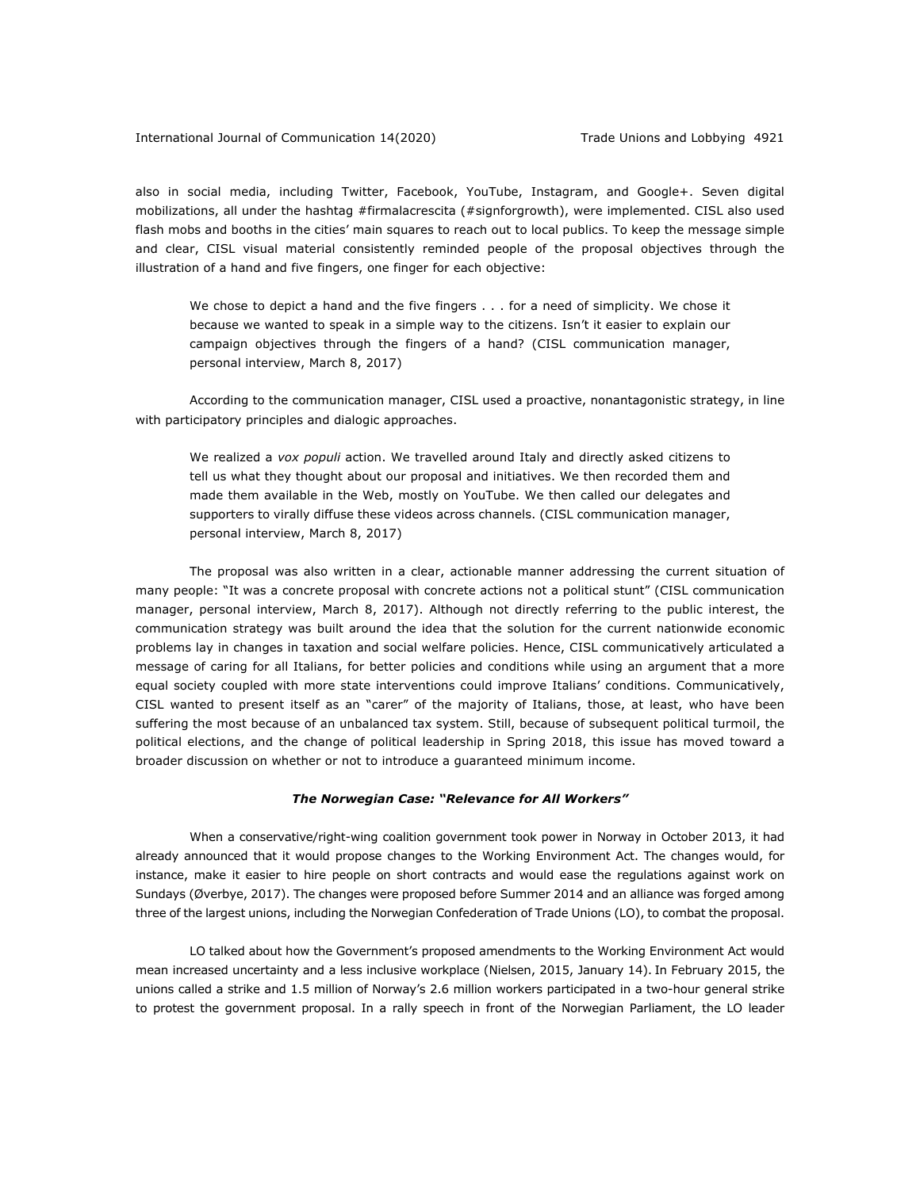also in social media, including Twitter, Facebook, YouTube, Instagram, and Google+. Seven digital mobilizations, all under the hashtag #firmalacrescita (#signforgrowth), were implemented. CISL also used flash mobs and booths in the cities' main squares to reach out to local publics. To keep the message simple and clear, CISL visual material consistently reminded people of the proposal objectives through the illustration of a hand and five fingers, one finger for each objective:

We chose to depict a hand and the five fingers . . . for a need of simplicity. We chose it because we wanted to speak in a simple way to the citizens. Isn't it easier to explain our campaign objectives through the fingers of a hand? (CISL communication manager, personal interview, March 8, 2017)

According to the communication manager, CISL used a proactive, nonantagonistic strategy, in line with participatory principles and dialogic approaches.

We realized a *vox populi* action. We travelled around Italy and directly asked citizens to tell us what they thought about our proposal and initiatives. We then recorded them and made them available in the Web, mostly on YouTube. We then called our delegates and supporters to virally diffuse these videos across channels. (CISL communication manager, personal interview, March 8, 2017)

The proposal was also written in a clear, actionable manner addressing the current situation of many people: "It was a concrete proposal with concrete actions not a political stunt" (CISL communication manager, personal interview, March 8, 2017). Although not directly referring to the public interest, the communication strategy was built around the idea that the solution for the current nationwide economic problems lay in changes in taxation and social welfare policies. Hence, CISL communicatively articulated a message of caring for all Italians, for better policies and conditions while using an argument that a more equal society coupled with more state interventions could improve Italians' conditions. Communicatively, CISL wanted to present itself as an "carer" of the majority of Italians, those, at least, who have been suffering the most because of an unbalanced tax system. Still, because of subsequent political turmoil, the political elections, and the change of political leadership in Spring 2018, this issue has moved toward a broader discussion on whether or not to introduce a guaranteed minimum income.

#### *The Norwegian Case: "Relevance for All Workers"*

When a conservative/right-wing coalition government took power in Norway in October 2013, it had already announced that it would propose changes to the Working Environment Act. The changes would, for instance, make it easier to hire people on short contracts and would ease the regulations against work on Sundays (Øverbye, 2017). The changes were proposed before Summer 2014 and an alliance was forged among three of the largest unions, including the Norwegian Confederation of Trade Unions (LO), to combat the proposal.

LO talked about how the Government's proposed amendments to the Working Environment Act would mean increased uncertainty and a less inclusive workplace (Nielsen, 2015, January 14). In February 2015, the unions called a strike and 1.5 million of Norway's 2.6 million workers participated in a two-hour general strike to protest the government proposal. In a rally speech in front of the Norwegian Parliament, the LO leader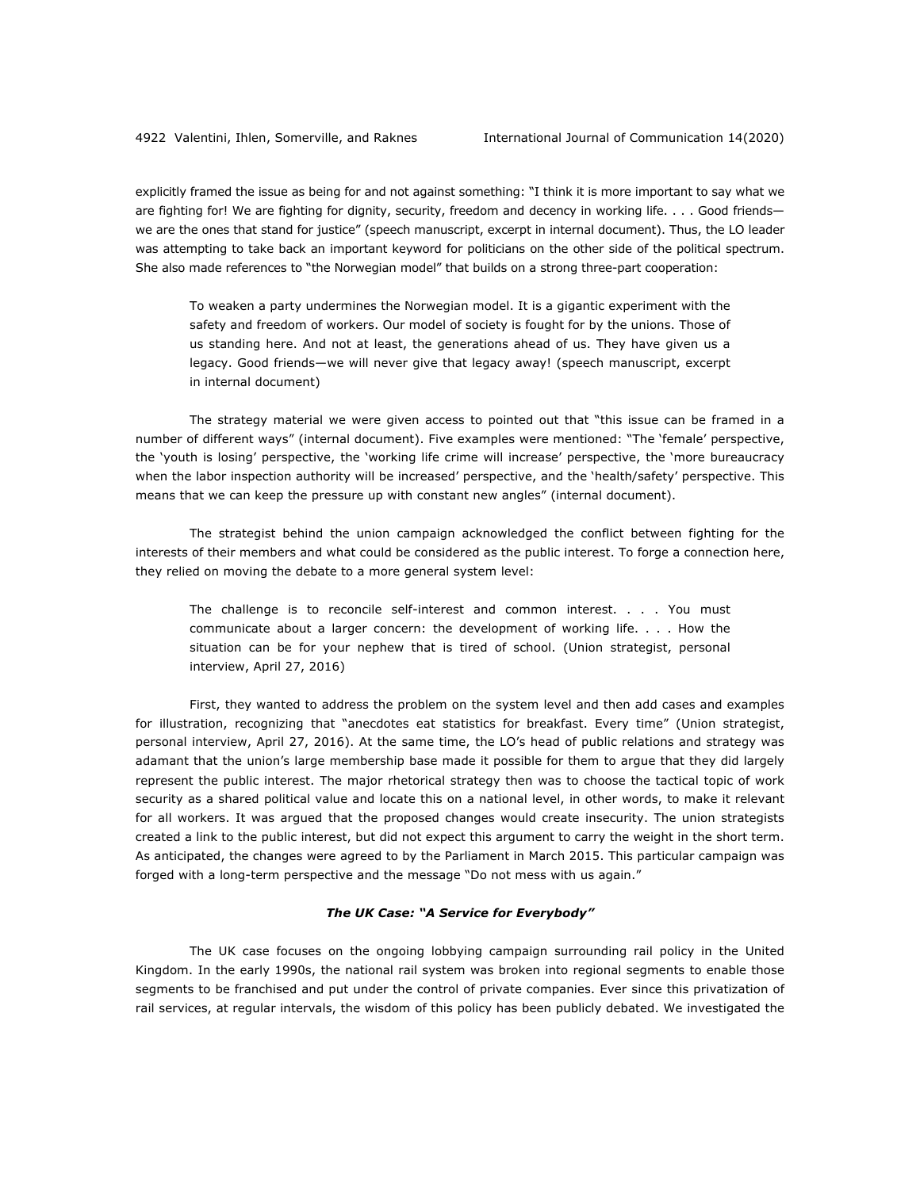explicitly framed the issue as being for and not against something: "I think it is more important to say what we are fighting for! We are fighting for dignity, security, freedom and decency in working life. . . . Good friendswe are the ones that stand for justice" (speech manuscript, excerpt in internal document). Thus, the LO leader was attempting to take back an important keyword for politicians on the other side of the political spectrum. She also made references to "the Norwegian model" that builds on a strong three-part cooperation:

To weaken a party undermines the Norwegian model. It is a gigantic experiment with the safety and freedom of workers. Our model of society is fought for by the unions. Those of us standing here. And not at least, the generations ahead of us. They have given us a legacy. Good friends—we will never give that legacy away! (speech manuscript, excerpt in internal document)

The strategy material we were given access to pointed out that "this issue can be framed in a number of different ways" (internal document). Five examples were mentioned: "The 'female' perspective, the 'youth is losing' perspective, the 'working life crime will increase' perspective, the 'more bureaucracy when the labor inspection authority will be increased' perspective, and the 'health/safety' perspective. This means that we can keep the pressure up with constant new angles" (internal document).

The strategist behind the union campaign acknowledged the conflict between fighting for the interests of their members and what could be considered as the public interest. To forge a connection here, they relied on moving the debate to a more general system level:

The challenge is to reconcile self-interest and common interest. . . . You must communicate about a larger concern: the development of working life. . . . How the situation can be for your nephew that is tired of school. (Union strategist, personal interview, April 27, 2016)

First, they wanted to address the problem on the system level and then add cases and examples for illustration, recognizing that "anecdotes eat statistics for breakfast. Every time" (Union strategist, personal interview, April 27, 2016). At the same time, the LO's head of public relations and strategy was adamant that the union's large membership base made it possible for them to argue that they did largely represent the public interest. The major rhetorical strategy then was to choose the tactical topic of work security as a shared political value and locate this on a national level, in other words, to make it relevant for all workers. It was argued that the proposed changes would create insecurity. The union strategists created a link to the public interest, but did not expect this argument to carry the weight in the short term. As anticipated, the changes were agreed to by the Parliament in March 2015. This particular campaign was forged with a long-term perspective and the message "Do not mess with us again."

## *The UK Case: "A Service for Everybody"*

The UK case focuses on the ongoing lobbying campaign surrounding rail policy in the United Kingdom. In the early 1990s, the national rail system was broken into regional segments to enable those segments to be franchised and put under the control of private companies. Ever since this privatization of rail services, at regular intervals, the wisdom of this policy has been publicly debated. We investigated the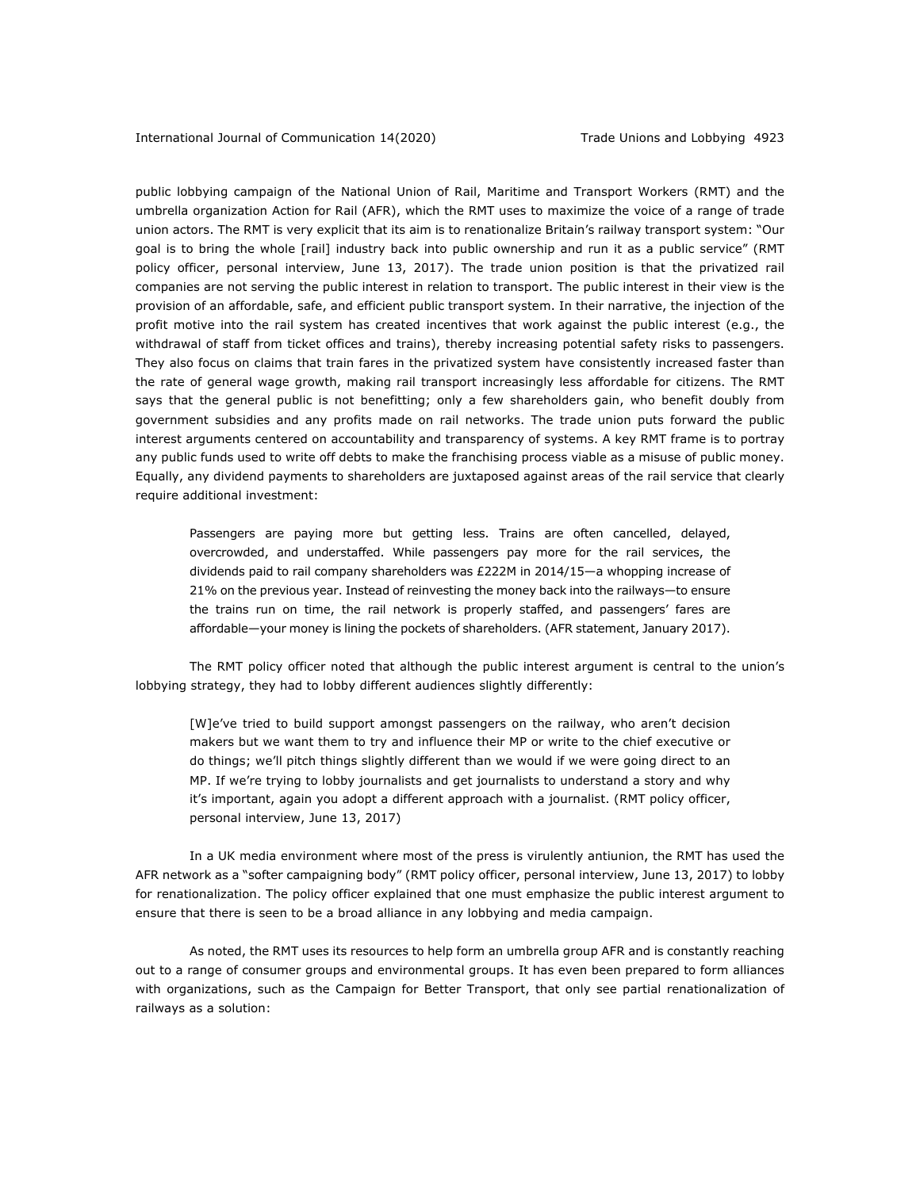public lobbying campaign of the National Union of Rail, Maritime and Transport Workers (RMT) and the umbrella organization Action for Rail (AFR), which the RMT uses to maximize the voice of a range of trade union actors. The RMT is very explicit that its aim is to renationalize Britain's railway transport system: "Our goal is to bring the whole [rail] industry back into public ownership and run it as a public service" (RMT policy officer, personal interview, June 13, 2017). The trade union position is that the privatized rail companies are not serving the public interest in relation to transport. The public interest in their view is the provision of an affordable, safe, and efficient public transport system. In their narrative, the injection of the profit motive into the rail system has created incentives that work against the public interest (e.g., the withdrawal of staff from ticket offices and trains), thereby increasing potential safety risks to passengers. They also focus on claims that train fares in the privatized system have consistently increased faster than the rate of general wage growth, making rail transport increasingly less affordable for citizens. The RMT says that the general public is not benefitting; only a few shareholders gain, who benefit doubly from government subsidies and any profits made on rail networks. The trade union puts forward the public interest arguments centered on accountability and transparency of systems. A key RMT frame is to portray any public funds used to write off debts to make the franchising process viable as a misuse of public money. Equally, any dividend payments to shareholders are juxtaposed against areas of the rail service that clearly require additional investment:

Passengers are paying more but getting less. Trains are often cancelled, delayed, overcrowded, and understaffed. While passengers pay more for the rail services, the dividends paid to rail company shareholders was £222M in 2014/15—a whopping increase of 21% on the previous year. Instead of reinvesting the money back into the railways—to ensure the trains run on time, the rail network is properly staffed, and passengers' fares are affordable—your money is lining the pockets of shareholders. (AFR statement, January 2017).

The RMT policy officer noted that although the public interest argument is central to the union's lobbying strategy, they had to lobby different audiences slightly differently:

[W]e've tried to build support amongst passengers on the railway, who aren't decision makers but we want them to try and influence their MP or write to the chief executive or do things; we'll pitch things slightly different than we would if we were going direct to an MP. If we're trying to lobby journalists and get journalists to understand a story and why it's important, again you adopt a different approach with a journalist. (RMT policy officer, personal interview, June 13, 2017)

In a UK media environment where most of the press is virulently antiunion, the RMT has used the AFR network as a "softer campaigning body" (RMT policy officer, personal interview, June 13, 2017) to lobby for renationalization. The policy officer explained that one must emphasize the public interest argument to ensure that there is seen to be a broad alliance in any lobbying and media campaign.

As noted, the RMT uses its resources to help form an umbrella group AFR and is constantly reaching out to a range of consumer groups and environmental groups. It has even been prepared to form alliances with organizations, such as the Campaign for Better Transport, that only see partial renationalization of railways as a solution: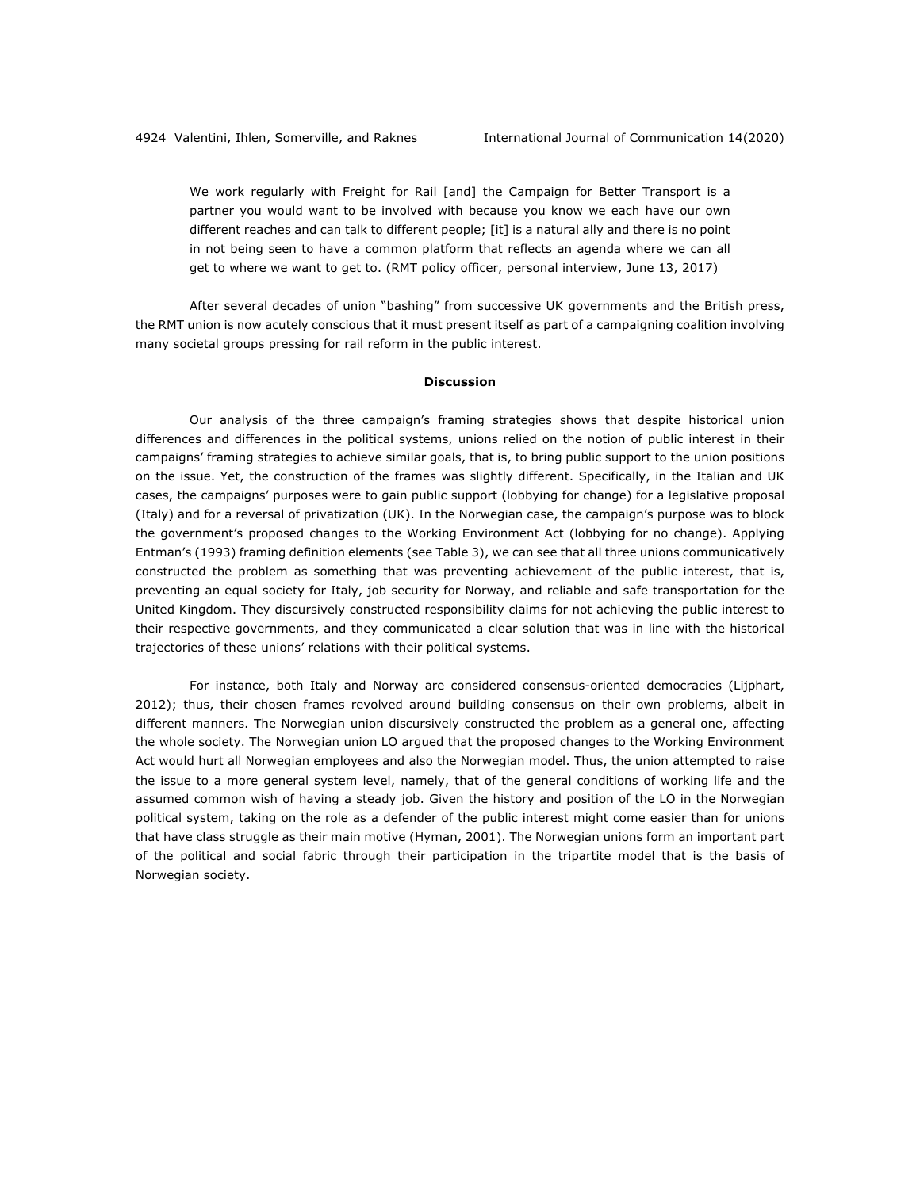We work regularly with Freight for Rail [and] the Campaign for Better Transport is a partner you would want to be involved with because you know we each have our own different reaches and can talk to different people; [it] is a natural ally and there is no point in not being seen to have a common platform that reflects an agenda where we can all get to where we want to get to. (RMT policy officer, personal interview, June 13, 2017)

After several decades of union "bashing" from successive UK governments and the British press, the RMT union is now acutely conscious that it must present itself as part of a campaigning coalition involving many societal groups pressing for rail reform in the public interest.

#### **Discussion**

Our analysis of the three campaign's framing strategies shows that despite historical union differences and differences in the political systems, unions relied on the notion of public interest in their campaigns' framing strategies to achieve similar goals, that is, to bring public support to the union positions on the issue. Yet, the construction of the frames was slightly different. Specifically, in the Italian and UK cases, the campaigns' purposes were to gain public support (lobbying for change) for a legislative proposal (Italy) and for a reversal of privatization (UK). In the Norwegian case, the campaign's purpose was to block the government's proposed changes to the Working Environment Act (lobbying for no change). Applying Entman's (1993) framing definition elements (see Table 3), we can see that all three unions communicatively constructed the problem as something that was preventing achievement of the public interest, that is, preventing an equal society for Italy, job security for Norway, and reliable and safe transportation for the United Kingdom. They discursively constructed responsibility claims for not achieving the public interest to their respective governments, and they communicated a clear solution that was in line with the historical trajectories of these unions' relations with their political systems.

For instance, both Italy and Norway are considered consensus-oriented democracies (Lijphart, 2012); thus, their chosen frames revolved around building consensus on their own problems, albeit in different manners. The Norwegian union discursively constructed the problem as a general one, affecting the whole society. The Norwegian union LO argued that the proposed changes to the Working Environment Act would hurt all Norwegian employees and also the Norwegian model. Thus, the union attempted to raise the issue to a more general system level, namely, that of the general conditions of working life and the assumed common wish of having a steady job. Given the history and position of the LO in the Norwegian political system, taking on the role as a defender of the public interest might come easier than for unions that have class struggle as their main motive (Hyman, 2001). The Norwegian unions form an important part of the political and social fabric through their participation in the tripartite model that is the basis of Norwegian society.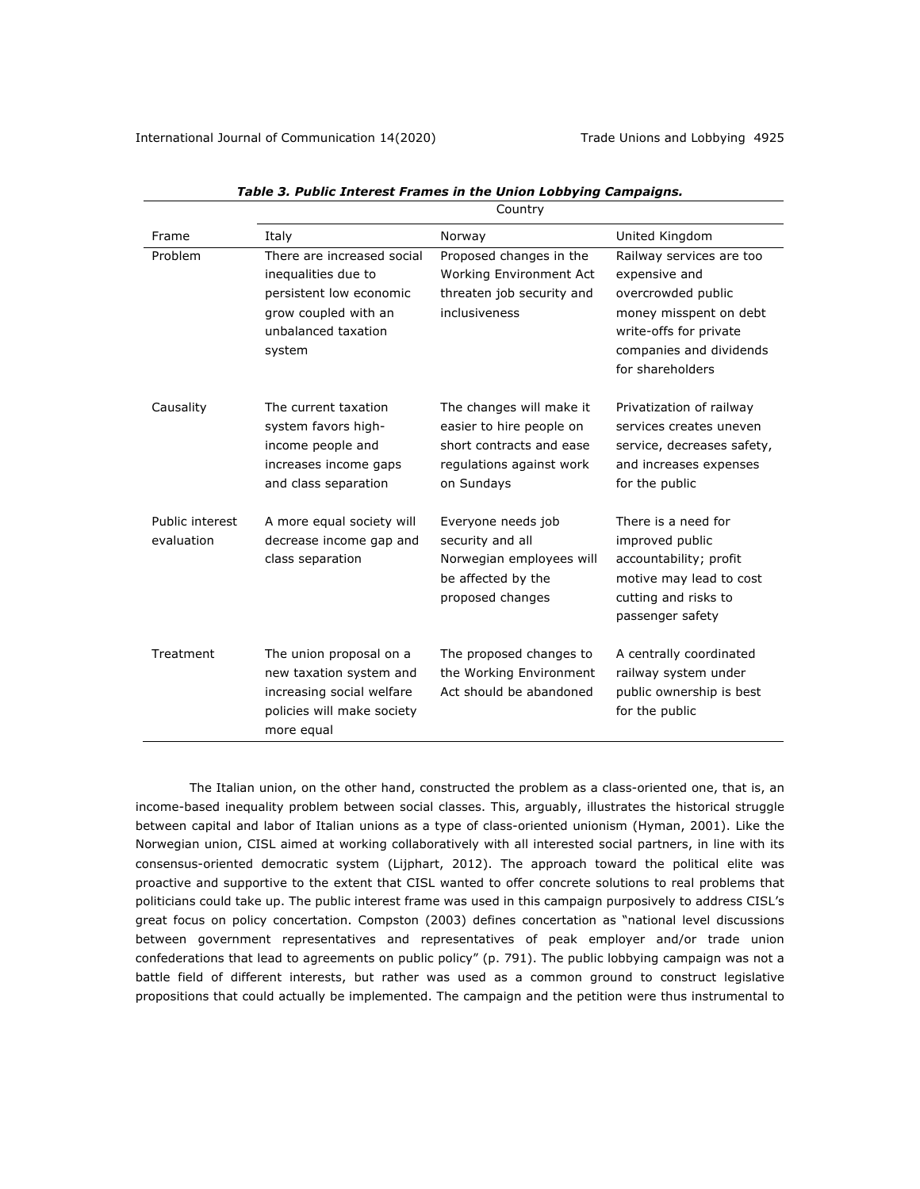|                               | Country                                                                                                                               |                                                                                                                            |                                                                                                                                                                    |  |  |
|-------------------------------|---------------------------------------------------------------------------------------------------------------------------------------|----------------------------------------------------------------------------------------------------------------------------|--------------------------------------------------------------------------------------------------------------------------------------------------------------------|--|--|
| Frame                         | Italy                                                                                                                                 | Norway                                                                                                                     | United Kingdom                                                                                                                                                     |  |  |
| Problem                       | There are increased social<br>inequalities due to<br>persistent low economic<br>grow coupled with an<br>unbalanced taxation<br>system | Proposed changes in the<br>Working Environment Act<br>threaten job security and<br>inclusiveness                           | Railway services are too<br>expensive and<br>overcrowded public<br>money misspent on debt<br>write-offs for private<br>companies and dividends<br>for shareholders |  |  |
| Causality                     | The current taxation<br>system favors high-<br>income people and<br>increases income gaps<br>and class separation                     | The changes will make it<br>easier to hire people on<br>short contracts and ease<br>regulations against work<br>on Sundays | Privatization of railway<br>services creates uneven<br>service, decreases safety,<br>and increases expenses<br>for the public                                      |  |  |
| Public interest<br>evaluation | A more equal society will<br>decrease income gap and<br>class separation                                                              | Everyone needs job<br>security and all<br>Norwegian employees will<br>be affected by the<br>proposed changes               | There is a need for<br>improved public<br>accountability; profit<br>motive may lead to cost<br>cutting and risks to<br>passenger safety                            |  |  |
| Treatment                     | The union proposal on a<br>new taxation system and<br>increasing social welfare<br>policies will make society<br>more equal           | The proposed changes to<br>the Working Environment<br>Act should be abandoned                                              | A centrally coordinated<br>railway system under<br>public ownership is best<br>for the public                                                                      |  |  |

| Table 3. Public Interest Frames in the Union Lobbying Campaigns. |  |  |  |
|------------------------------------------------------------------|--|--|--|
|------------------------------------------------------------------|--|--|--|

The Italian union, on the other hand, constructed the problem as a class-oriented one, that is, an income-based inequality problem between social classes. This, arguably, illustrates the historical struggle between capital and labor of Italian unions as a type of class-oriented unionism (Hyman, 2001). Like the Norwegian union, CISL aimed at working collaboratively with all interested social partners, in line with its consensus-oriented democratic system (Lijphart, 2012). The approach toward the political elite was proactive and supportive to the extent that CISL wanted to offer concrete solutions to real problems that politicians could take up. The public interest frame was used in this campaign purposively to address CISL's great focus on policy concertation. Compston (2003) defines concertation as "national level discussions between government representatives and representatives of peak employer and/or trade union confederations that lead to agreements on public policy" (p. 791). The public lobbying campaign was not a battle field of different interests, but rather was used as a common ground to construct legislative propositions that could actually be implemented. The campaign and the petition were thus instrumental to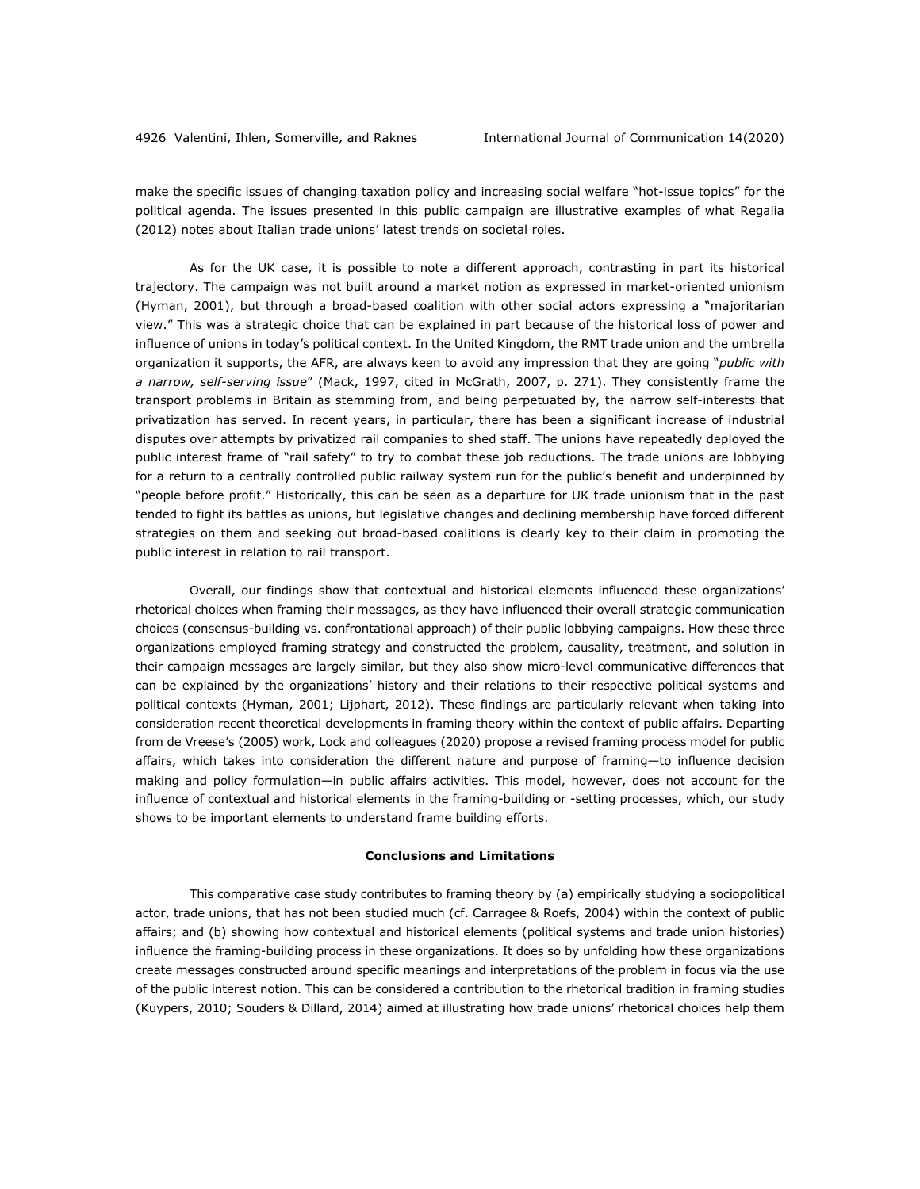make the specific issues of changing taxation policy and increasing social welfare "hot-issue topics" for the political agenda. The issues presented in this public campaign are illustrative examples of what Regalia (2012) notes about Italian trade unions' latest trends on societal roles.

As for the UK case, it is possible to note a different approach, contrasting in part its historical trajectory. The campaign was not built around a market notion as expressed in market-oriented unionism (Hyman, 2001), but through a broad-based coalition with other social actors expressing a "majoritarian view." This was a strategic choice that can be explained in part because of the historical loss of power and influence of unions in today's political context. In the United Kingdom, the RMT trade union and the umbrella organization it supports, the AFR, are always keen to avoid any impression that they are going "*public with a narrow, self-serving issue*" (Mack, 1997, cited in McGrath, 2007, p. 271). They consistently frame the transport problems in Britain as stemming from, and being perpetuated by, the narrow self-interests that privatization has served. In recent years, in particular, there has been a significant increase of industrial disputes over attempts by privatized rail companies to shed staff. The unions have repeatedly deployed the public interest frame of "rail safety" to try to combat these job reductions. The trade unions are lobbying for a return to a centrally controlled public railway system run for the public's benefit and underpinned by "people before profit." Historically, this can be seen as a departure for UK trade unionism that in the past tended to fight its battles as unions, but legislative changes and declining membership have forced different strategies on them and seeking out broad-based coalitions is clearly key to their claim in promoting the public interest in relation to rail transport.

Overall, our findings show that contextual and historical elements influenced these organizations' rhetorical choices when framing their messages, as they have influenced their overall strategic communication choices (consensus-building vs. confrontational approach) of their public lobbying campaigns. How these three organizations employed framing strategy and constructed the problem, causality, treatment, and solution in their campaign messages are largely similar, but they also show micro-level communicative differences that can be explained by the organizations' history and their relations to their respective political systems and political contexts (Hyman, 2001; Lijphart, 2012). These findings are particularly relevant when taking into consideration recent theoretical developments in framing theory within the context of public affairs. Departing from de Vreese's (2005) work, Lock and colleagues (2020) propose a revised framing process model for public affairs, which takes into consideration the different nature and purpose of framing—to influence decision making and policy formulation—in public affairs activities. This model, however, does not account for the influence of contextual and historical elements in the framing-building or -setting processes, which, our study shows to be important elements to understand frame building efforts.

#### **Conclusions and Limitations**

This comparative case study contributes to framing theory by (a) empirically studying a sociopolitical actor, trade unions, that has not been studied much (cf. Carragee & Roefs, 2004) within the context of public affairs; and (b) showing how contextual and historical elements (political systems and trade union histories) influence the framing-building process in these organizations. It does so by unfolding how these organizations create messages constructed around specific meanings and interpretations of the problem in focus via the use of the public interest notion. This can be considered a contribution to the rhetorical tradition in framing studies (Kuypers, 2010; Souders & Dillard, 2014) aimed at illustrating how trade unions' rhetorical choices help them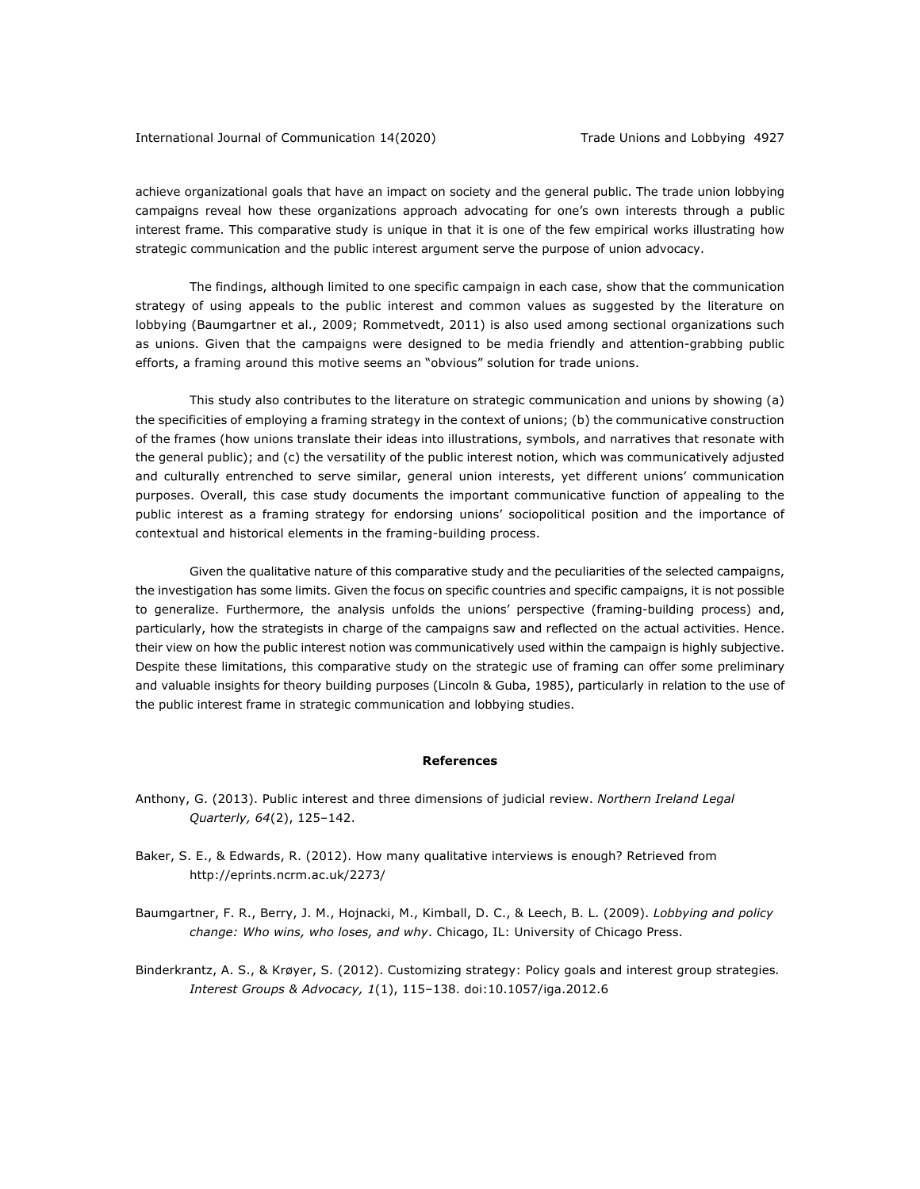## International Journal of Communication 14(2020) Trade Unions and Lobbying 4927

achieve organizational goals that have an impact on society and the general public. The trade union lobbying campaigns reveal how these organizations approach advocating for one's own interests through a public interest frame. This comparative study is unique in that it is one of the few empirical works illustrating how strategic communication and the public interest argument serve the purpose of union advocacy.

The findings, although limited to one specific campaign in each case, show that the communication strategy of using appeals to the public interest and common values as suggested by the literature on lobbying (Baumgartner et al., 2009; Rommetvedt, 2011) is also used among sectional organizations such as unions. Given that the campaigns were designed to be media friendly and attention-grabbing public efforts, a framing around this motive seems an "obvious" solution for trade unions.

This study also contributes to the literature on strategic communication and unions by showing (a) the specificities of employing a framing strategy in the context of unions; (b) the communicative construction of the frames (how unions translate their ideas into illustrations, symbols, and narratives that resonate with the general public); and (c) the versatility of the public interest notion, which was communicatively adjusted and culturally entrenched to serve similar, general union interests, yet different unions' communication purposes. Overall, this case study documents the important communicative function of appealing to the public interest as a framing strategy for endorsing unions' sociopolitical position and the importance of contextual and historical elements in the framing-building process.

Given the qualitative nature of this comparative study and the peculiarities of the selected campaigns, the investigation has some limits. Given the focus on specific countries and specific campaigns, it is not possible to generalize. Furthermore, the analysis unfolds the unions' perspective (framing-building process) and, particularly, how the strategists in charge of the campaigns saw and reflected on the actual activities. Hence. their view on how the public interest notion was communicatively used within the campaign is highly subjective. Despite these limitations, this comparative study on the strategic use of framing can offer some preliminary and valuable insights for theory building purposes (Lincoln & Guba, 1985), particularly in relation to the use of the public interest frame in strategic communication and lobbying studies.

## **References**

- Anthony, G. (2013). Public interest and three dimensions of judicial review. *Northern Ireland Legal Quarterly, 64*(2), 125–142.
- Baker, S. E., & Edwards, R. (2012). How many qualitative interviews is enough? Retrieved from http://eprints.ncrm.ac.uk/2273/
- Baumgartner, F. R., Berry, J. M., Hojnacki, M., Kimball, D. C., & Leech, B. L. (2009). *Lobbying and policy change: Who wins, who loses, and why*. Chicago, IL: University of Chicago Press.
- Binderkrantz, A. S., & Krøyer, S. (2012). Customizing strategy: Policy goals and interest group strategies*. Interest Groups & Advocacy, 1*(1), 115–138. doi:10.1057/iga.2012.6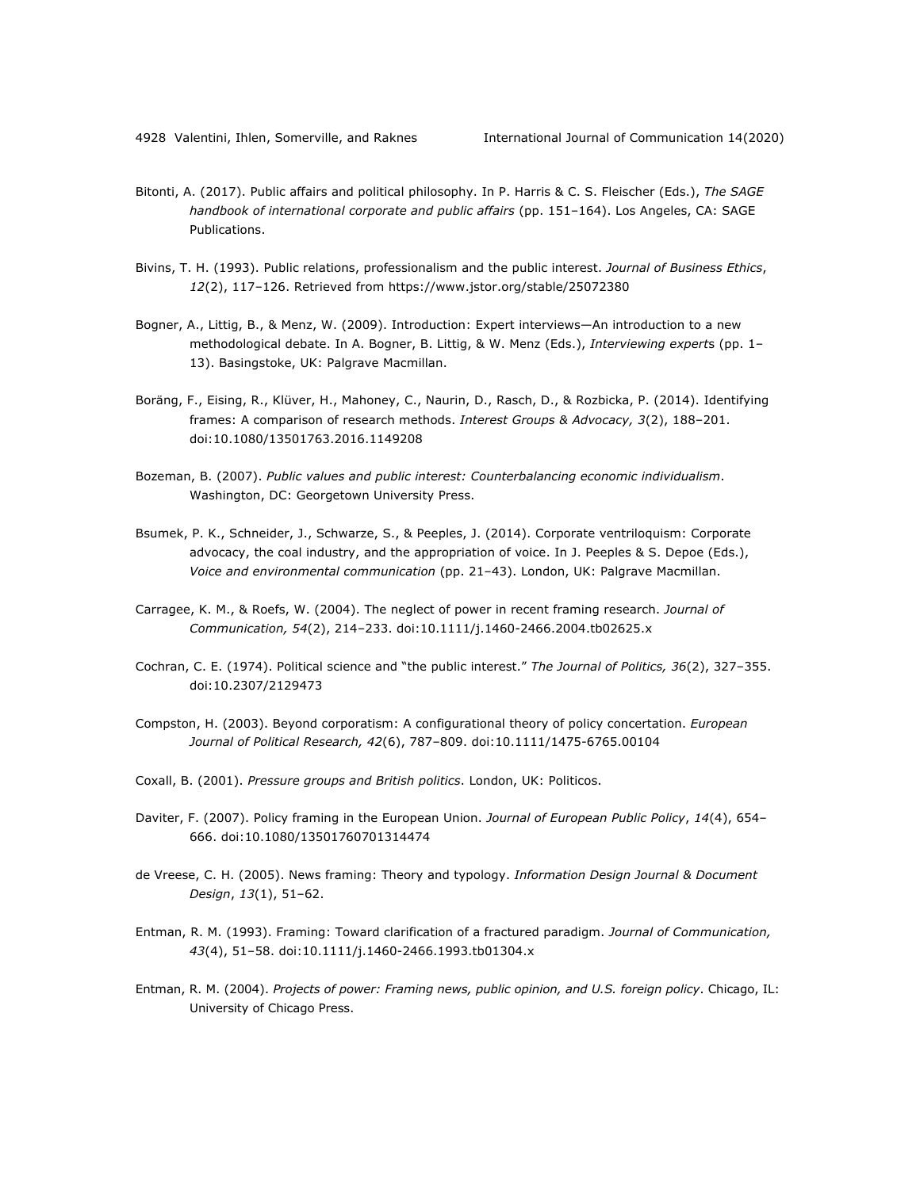- Bitonti, A. (2017). Public affairs and political philosophy. In P. Harris & C. S. Fleischer (Eds.), *The SAGE handbook of international corporate and public affairs* (pp. 151–164). Los Angeles, CA: SAGE Publications.
- Bivins, T. H. (1993). Public relations, professionalism and the public interest. *Journal of Business Ethics*, *12*(2), 117–126. Retrieved from https://www.jstor.org/stable/25072380
- Bogner, A., Littig, B., & Menz, W. (2009). Introduction: Expert interviews—An introduction to a new methodological debate. In A. Bogner, B. Littig, & W. Menz (Eds.), *Interviewing expert*s (pp. 1– 13). Basingstoke, UK: Palgrave Macmillan.
- Boräng, F., Eising, R., Klüver, H., Mahoney, C., Naurin, D., Rasch, D., & Rozbicka, P. (2014). Identifying frames: A comparison of research methods. *Interest Groups & Advocacy, 3*(2), 188–201. doi:10.1080/13501763.2016.1149208
- Bozeman, B. (2007). *Public values and public interest: Counterbalancing economic individualism*. Washington, DC: Georgetown University Press.
- Bsumek, P. K., Schneider, J., Schwarze, S., & Peeples, J. (2014). Corporate ventriloquism: Corporate advocacy, the coal industry, and the appropriation of voice. In J. Peeples & S. Depoe (Eds.), *Voice and environmental communication* (pp. 21‒43). London, UK: Palgrave Macmillan.
- Carragee, K. M., & Roefs, W. (2004). The neglect of power in recent framing research. *Journal of Communication, 54*(2), 214–233. doi:10.1111/j.1460-2466.2004.tb02625.x
- Cochran, C. E. (1974). Political science and "the public interest." *The Journal of Politics, 36*(2), 327–355. doi:10.2307/2129473
- Compston, H. (2003). Beyond corporatism: A configurational theory of policy concertation. *European Journal of Political Research, 42*(6), 787–809. doi:10.1111/1475-6765.00104
- Coxall, B. (2001). *Pressure groups and British politics*. London, UK: Politicos.
- Daviter, F. (2007). Policy framing in the European Union. *Journal of European Public Policy*, *14*(4), 654– 666. doi:10.1080/13501760701314474
- de Vreese, C. H. (2005). News framing: Theory and typology. *Information Design Journal & Document Design*, *13*(1), 51–62.
- Entman, R. M. (1993). Framing: Toward clarification of a fractured paradigm. *Journal of Communication, 43*(4), 51–58. doi:10.1111/j.1460-2466.1993.tb01304.x
- Entman, R. M. (2004). *Projects of power: Framing news, public opinion, and U.S. foreign policy*. Chicago, IL: University of Chicago Press.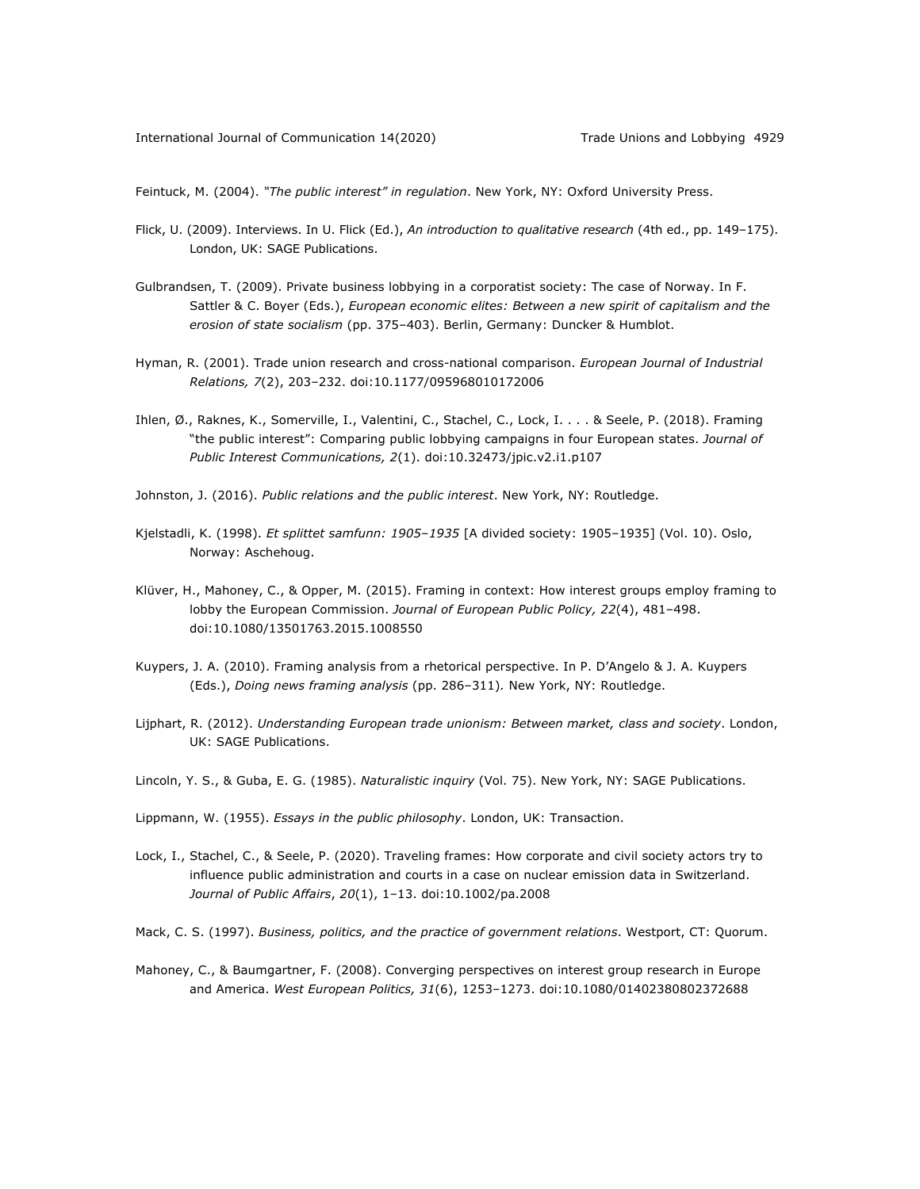Feintuck, M. (2004). *"The public interest" in regulation*. New York, NY: Oxford University Press.

- Flick, U. (2009). Interviews. In U. Flick (Ed.), *An introduction to qualitative research* (4th ed., pp. 149–175). London, UK: SAGE Publications.
- Gulbrandsen, T. (2009). Private business lobbying in a corporatist society: The case of Norway. In F. Sattler & C. Boyer (Eds.), *European economic elites: Between a new spirit of capitalism and the erosion of state socialism* (pp. 375–403). Berlin, Germany: Duncker & Humblot.
- Hyman, R. (2001). Trade union research and cross-national comparison. *European Journal of Industrial Relations, 7*(2), 203–232. doi:10.1177/095968010172006
- Ihlen, Ø., Raknes, K., Somerville, I., Valentini, C., Stachel, C., Lock, I. . . . & Seele, P. (2018). Framing "the public interest": Comparing public lobbying campaigns in four European states. *Journal of Public Interest Communications, 2*(1). doi:10.32473/jpic.v2.i1.p107
- Johnston, J. (2016). *Public relations and the public interest*. New York, NY: Routledge.
- Kjelstadli, K. (1998). *Et splittet samfunn: 1905-1935* [A divided society: 1905-1935] (Vol. 10). Oslo, Norway: Aschehoug.
- Klüver, H., Mahoney, C., & Opper, M. (2015). Framing in context: How interest groups employ framing to lobby the European Commission. *Journal of European Public Policy, 22*(4), 481–498. doi:10.1080/13501763.2015.1008550
- Kuypers, J. A. (2010). Framing analysis from a rhetorical perspective. In P. D'Angelo & J. A. Kuypers (Eds.), *Doing news framing analysis* (pp. 286–311)*.* New York, NY: Routledge.
- Lijphart, R. (2012). *Understanding European trade unionism: Between market, class and society*. London, UK: SAGE Publications.
- Lincoln, Y. S., & Guba, E. G. (1985). *Naturalistic inquiry* (Vol. 75). New York, NY: SAGE Publications.
- Lippmann, W. (1955). *Essays in the public philosophy*. London, UK: Transaction.
- Lock, I., Stachel, C., & Seele, P. (2020). Traveling frames: How corporate and civil society actors try to influence public administration and courts in a case on nuclear emission data in Switzerland. *Journal of Public Affairs*, *20*(1), 1–13. doi:10.1002/pa.2008
- Mack, C. S. (1997). *Business, politics, and the practice of government relations*. Westport, CT: Quorum.
- Mahoney, C., & Baumgartner, F. (2008). Converging perspectives on interest group research in Europe and America. *West European Politics, 31*(6), 1253–1273. doi:10.1080/01402380802372688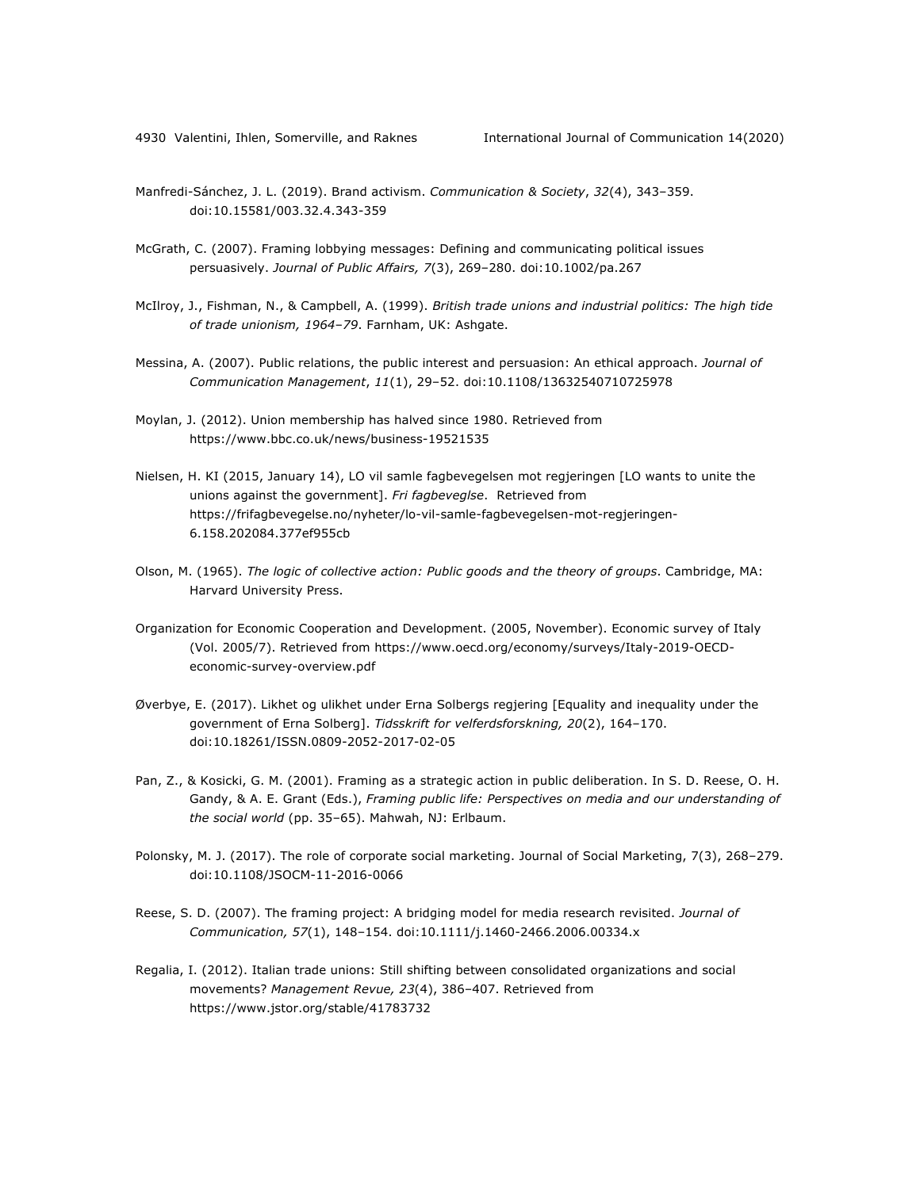- Manfredi-Sánchez, J. L. (2019). Brand activism. *Communication & Society*, *32*(4), 343–359. doi:10.15581/003.32.4.343-359
- McGrath, C. (2007). Framing lobbying messages: Defining and communicating political issues persuasively. *Journal of Public Affairs, 7*(3), 269–280. doi:10.1002/pa.267
- McIlroy, J., Fishman, N., & Campbell, A. (1999). *British trade unions and industrial politics: The high tide of trade unionism, 1964*–*79*. Farnham, UK: Ashgate.
- Messina, A. (2007). Public relations, the public interest and persuasion: An ethical approach. *Journal of Communication Management*, *11*(1), 29–52. doi:10.1108/13632540710725978
- Moylan, J. (2012). Union membership has halved since 1980. Retrieved from https://www.bbc.co.uk/news/business-19521535
- Nielsen, H. KI (2015, January 14), LO vil samle fagbevegelsen mot regjeringen [LO wants to unite the unions against the government]. *Fri fagbeveglse*. Retrieved from https://frifagbevegelse.no/nyheter/lo-vil-samle-fagbevegelsen-mot-regjeringen-6.158.202084.377ef955cb
- Olson, M. (1965). *The logic of collective action: Public goods and the theory of groups*. Cambridge, MA: Harvard University Press.
- Organization for Economic Cooperation and Development. (2005, November). Economic survey of Italy (Vol. 2005/7). Retrieved from https://www.oecd.org/economy/surveys/Italy-2019-OECDeconomic-survey-overview.pdf
- Øverbye, E. (2017). Likhet og ulikhet under Erna Solbergs regjering [Equality and inequality under the government of Erna Solberg]. *Tidsskrift for velferdsforskning, 20*(2), 164–170. doi:10.18261/ISSN.0809-2052-2017-02-05
- Pan, Z., & Kosicki, G. M. (2001). Framing as a strategic action in public deliberation. In S. D. Reese, O. H. Gandy, & A. E. Grant (Eds.), *Framing public life: Perspectives on media and our understanding of the social world* (pp. 35–65). Mahwah, NJ: Erlbaum.
- Polonsky, M. J. (2017). The role of corporate social marketing. Journal of Social Marketing, 7(3), 268–279. doi:10.1108/JSOCM-11-2016-0066
- Reese, S. D. (2007). The framing project: A bridging model for media research revisited. *Journal of Communication, 57*(1), 148–154. doi:10.1111/j.1460-2466.2006.00334.x
- Regalia, I. (2012). Italian trade unions: Still shifting between consolidated organizations and social movements? *Management Revue, 23*(4), 386–407. Retrieved from https://www.jstor.org/stable/41783732